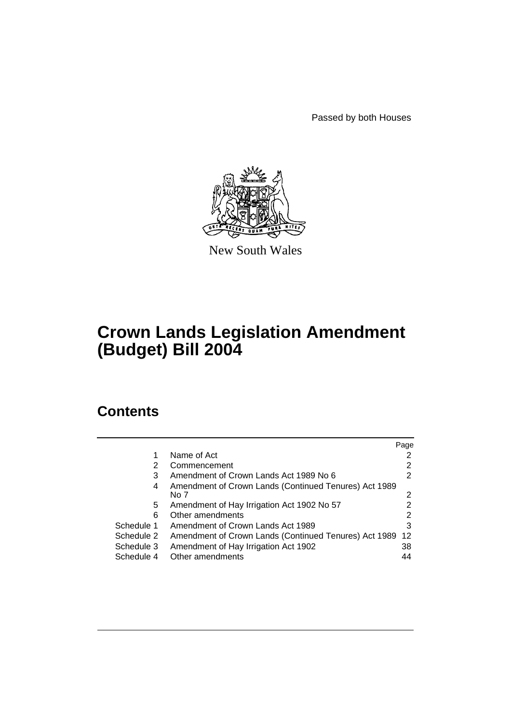Passed by both Houses



New South Wales

# **Crown Lands Legislation Amendment (Budget) Bill 2004**

# **Contents**

|            |                                                               | Page |
|------------|---------------------------------------------------------------|------|
|            | Name of Act                                                   |      |
| 2          | Commencement                                                  | 2    |
| 3          | Amendment of Crown Lands Act 1989 No 6                        | 2    |
| 4          | Amendment of Crown Lands (Continued Tenures) Act 1989<br>No 7 | 2    |
| 5          | Amendment of Hay Irrigation Act 1902 No 57                    |      |
| 6          | Other amendments                                              | 2    |
| Schedule 1 | Amendment of Crown Lands Act 1989                             | 3    |
| Schedule 2 | Amendment of Crown Lands (Continued Tenures) Act 1989         | -12  |
| Schedule 3 | Amendment of Hay Irrigation Act 1902                          | 38   |
| Schedule 4 | Other amendments                                              | 44   |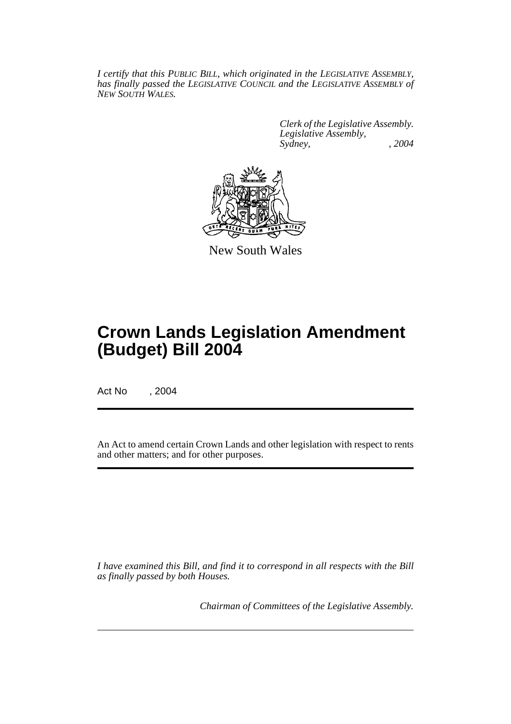*I certify that this PUBLIC BILL, which originated in the LEGISLATIVE ASSEMBLY, has finally passed the LEGISLATIVE COUNCIL and the LEGISLATIVE ASSEMBLY of NEW SOUTH WALES.*

> *Clerk of the Legislative Assembly. Legislative Assembly, Sydney, , 2004*



New South Wales

# **Crown Lands Legislation Amendment (Budget) Bill 2004**

Act No , 2004

An Act to amend certain Crown Lands and other legislation with respect to rents and other matters; and for other purposes.

*I have examined this Bill, and find it to correspond in all respects with the Bill as finally passed by both Houses.*

*Chairman of Committees of the Legislative Assembly.*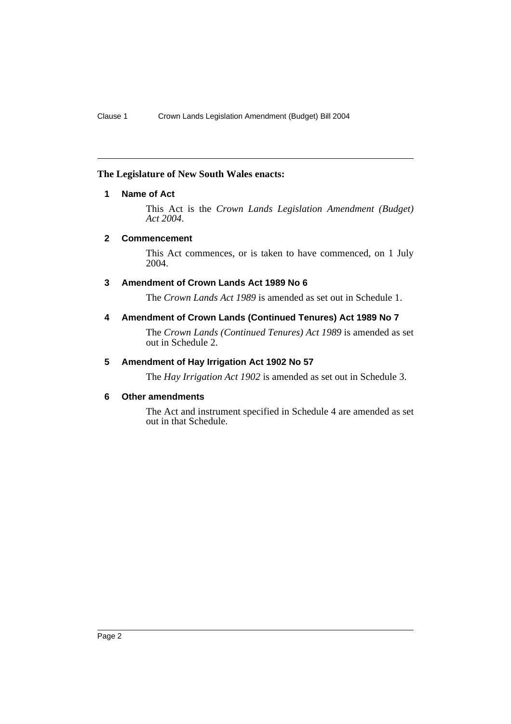## **The Legislature of New South Wales enacts:**

# **1 Name of Act**

This Act is the *Crown Lands Legislation Amendment (Budget) Act 2004*.

## **2 Commencement**

This Act commences, or is taken to have commenced, on 1 July 2004.

# **3 Amendment of Crown Lands Act 1989 No 6**

The *Crown Lands Act 1989* is amended as set out in Schedule 1.

# **4 Amendment of Crown Lands (Continued Tenures) Act 1989 No 7**

The *Crown Lands (Continued Tenures) Act 1989* is amended as set out in Schedule 2.

# **5 Amendment of Hay Irrigation Act 1902 No 57**

The *Hay Irrigation Act 1902* is amended as set out in Schedule 3.

## **6 Other amendments**

The Act and instrument specified in Schedule 4 are amended as set out in that Schedule.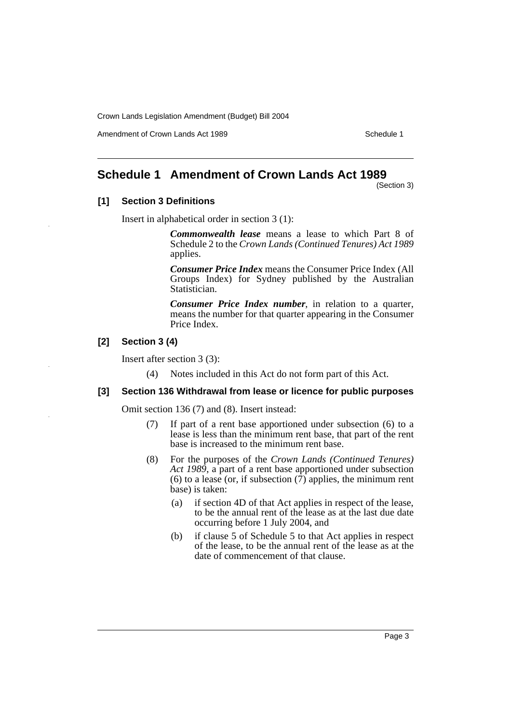Amendment of Crown Lands Act 1989 Schedule 1

# **Schedule 1 Amendment of Crown Lands Act 1989**

(Section 3)

# **[1] Section 3 Definitions**

Insert in alphabetical order in section 3 (1):

*Commonwealth lease* means a lease to which Part 8 of Schedule 2 to the *Crown Lands (Continued Tenures) Act 1989* applies.

*Consumer Price Index* means the Consumer Price Index (All Groups Index) for Sydney published by the Australian Statistician.

*Consumer Price Index number*, in relation to a quarter, means the number for that quarter appearing in the Consumer Price Index.

# **[2] Section 3 (4)**

Insert after section 3 (3):

(4) Notes included in this Act do not form part of this Act.

#### **[3] Section 136 Withdrawal from lease or licence for public purposes**

Omit section 136 (7) and (8). Insert instead:

- (7) If part of a rent base apportioned under subsection (6) to a lease is less than the minimum rent base, that part of the rent base is increased to the minimum rent base.
- (8) For the purposes of the *Crown Lands (Continued Tenures) Act 1989*, a part of a rent base apportioned under subsection (6) to a lease (or, if subsection  $(\overrightarrow{7})$  applies, the minimum rent base) is taken:
	- (a) if section 4D of that Act applies in respect of the lease, to be the annual rent of the lease as at the last due date occurring before 1 July 2004, and
	- (b) if clause 5 of Schedule 5 to that Act applies in respect of the lease, to be the annual rent of the lease as at the date of commencement of that clause.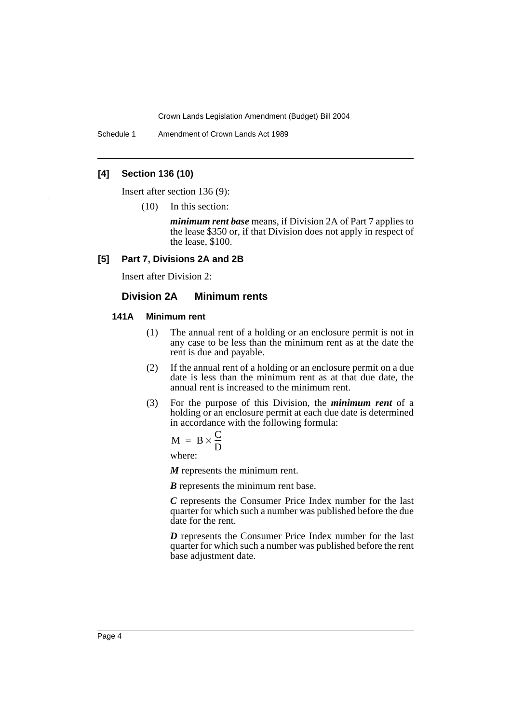Schedule 1 Amendment of Crown Lands Act 1989

## **[4] Section 136 (10)**

Insert after section 136 (9):

(10) In this section:

*minimum rent base* means, if Division 2A of Part 7 applies to the lease \$350 or, if that Division does not apply in respect of the lease, \$100.

## **[5] Part 7, Divisions 2A and 2B**

Insert after Division 2:

## **Division 2A Minimum rents**

#### **141A Minimum rent**

- (1) The annual rent of a holding or an enclosure permit is not in any case to be less than the minimum rent as at the date the rent is due and payable.
- (2) If the annual rent of a holding or an enclosure permit on a due date is less than the minimum rent as at that due date, the annual rent is increased to the minimum rent.
- (3) For the purpose of this Division, the *minimum rent* of a holding or an enclosure permit at each due date is determined in accordance with the following formula:

$$
M = B \times \frac{C}{D}
$$

where:

*M* represents the minimum rent.

*B* represents the minimum rent base.

*C* represents the Consumer Price Index number for the last quarter for which such a number was published before the due date for the rent.

*D* represents the Consumer Price Index number for the last quarter for which such a number was published before the rent base adjustment date.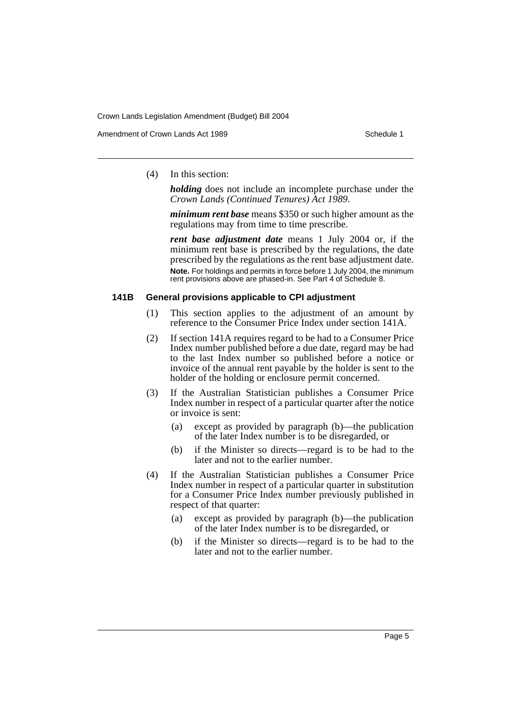Amendment of Crown Lands Act 1989 Schedule 1

(4) In this section:

*holding* does not include an incomplete purchase under the *Crown Lands (Continued Tenures) Act 1989*.

*minimum rent base* means \$350 or such higher amount as the regulations may from time to time prescribe.

*rent base adjustment date* means 1 July 2004 or, if the minimum rent base is prescribed by the regulations, the date prescribed by the regulations as the rent base adjustment date. **Note.** For holdings and permits in force before 1 July 2004, the minimum rent provisions above are phased-in. See Part 4 of Schedule 8.

#### **141B General provisions applicable to CPI adjustment**

- (1) This section applies to the adjustment of an amount by reference to the Consumer Price Index under section 141A.
- (2) If section 141A requires regard to be had to a Consumer Price Index number published before a due date, regard may be had to the last Index number so published before a notice or invoice of the annual rent payable by the holder is sent to the holder of the holding or enclosure permit concerned.
- (3) If the Australian Statistician publishes a Consumer Price Index number in respect of a particular quarter after the notice or invoice is sent:
	- (a) except as provided by paragraph (b)—the publication of the later Index number is to be disregarded, or
	- (b) if the Minister so directs—regard is to be had to the later and not to the earlier number.
- (4) If the Australian Statistician publishes a Consumer Price Index number in respect of a particular quarter in substitution for a Consumer Price Index number previously published in respect of that quarter:
	- (a) except as provided by paragraph (b)—the publication of the later Index number is to be disregarded, or
	- (b) if the Minister so directs—regard is to be had to the later and not to the earlier number.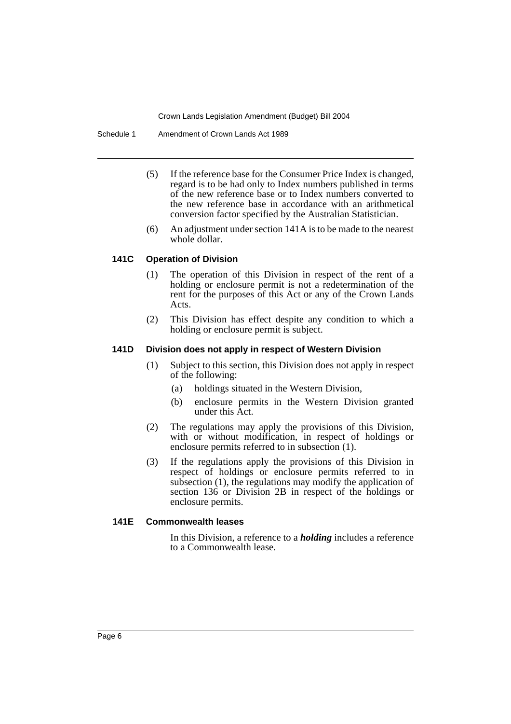Schedule 1 Amendment of Crown Lands Act 1989

- (5) If the reference base for the Consumer Price Index is changed, regard is to be had only to Index numbers published in terms of the new reference base or to Index numbers converted to the new reference base in accordance with an arithmetical conversion factor specified by the Australian Statistician.
- (6) An adjustment under section 141A is to be made to the nearest whole dollar.

## **141C Operation of Division**

- (1) The operation of this Division in respect of the rent of a holding or enclosure permit is not a redetermination of the rent for the purposes of this Act or any of the Crown Lands Acts.
- (2) This Division has effect despite any condition to which a holding or enclosure permit is subject.

#### **141D Division does not apply in respect of Western Division**

- (1) Subject to this section, this Division does not apply in respect of the following:
	- (a) holdings situated in the Western Division,
	- (b) enclosure permits in the Western Division granted under this Act.
- (2) The regulations may apply the provisions of this Division, with or without modification, in respect of holdings or enclosure permits referred to in subsection (1).
- (3) If the regulations apply the provisions of this Division in respect of holdings or enclosure permits referred to in subsection (1), the regulations may modify the application of section 136 or Division 2B in respect of the holdings or enclosure permits.

## **141E Commonwealth leases**

In this Division, a reference to a *holding* includes a reference to a Commonwealth lease.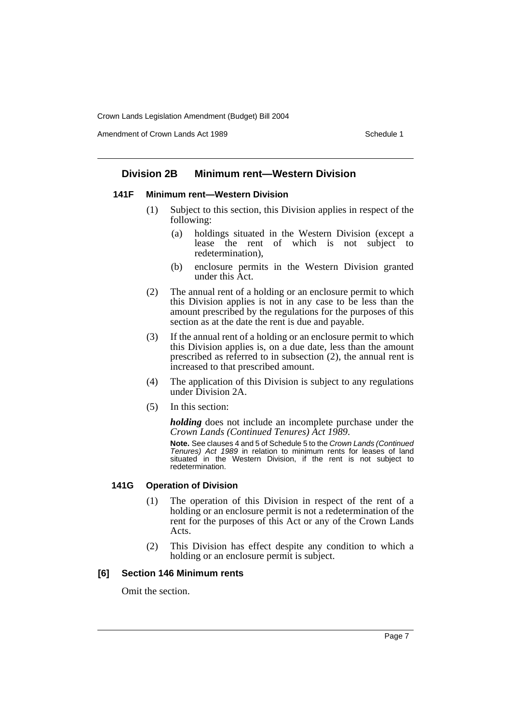Amendment of Crown Lands Act 1989 Schedule 1

# **Division 2B Minimum rent—Western Division**

## **141F Minimum rent—Western Division**

- (1) Subject to this section, this Division applies in respect of the following:
	- (a) holdings situated in the Western Division (except a lease the rent of which is not subject to redetermination),
	- (b) enclosure permits in the Western Division granted under this Act.
- (2) The annual rent of a holding or an enclosure permit to which this Division applies is not in any case to be less than the amount prescribed by the regulations for the purposes of this section as at the date the rent is due and payable.
- (3) If the annual rent of a holding or an enclosure permit to which this Division applies is, on a due date, less than the amount prescribed as referred to in subsection (2), the annual rent is increased to that prescribed amount.
- (4) The application of this Division is subject to any regulations under Division 2A.
- (5) In this section:

*holding* does not include an incomplete purchase under the *Crown Lands (Continued Tenures) Act 1989*.

**Note.** See clauses 4 and 5 of Schedule 5 to the *Crown Lands (Continued Tenures)* Act 1989 in relation to minimum rents for leases of land situated in the Western Division, if the rent is not subject to redetermination.

## **141G Operation of Division**

- (1) The operation of this Division in respect of the rent of a holding or an enclosure permit is not a redetermination of the rent for the purposes of this Act or any of the Crown Lands Acts.
- (2) This Division has effect despite any condition to which a holding or an enclosure permit is subject.

## **[6] Section 146 Minimum rents**

Omit the section.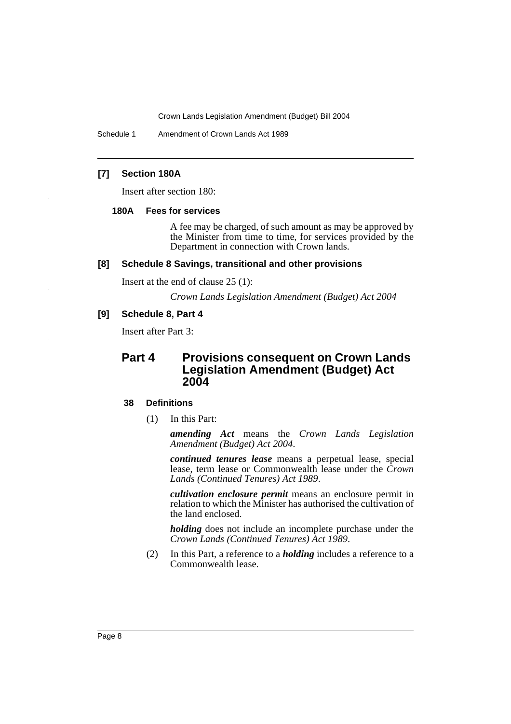Schedule 1 Amendment of Crown Lands Act 1989

# **[7] Section 180A**

Insert after section 180:

#### **180A Fees for services**

A fee may be charged, of such amount as may be approved by the Minister from time to time, for services provided by the Department in connection with Crown lands.

#### **[8] Schedule 8 Savings, transitional and other provisions**

Insert at the end of clause 25 (1):

*Crown Lands Legislation Amendment (Budget) Act 2004*

## **[9] Schedule 8, Part 4**

Insert after Part 3:

# **Part 4 Provisions consequent on Crown Lands Legislation Amendment (Budget) Act 2004**

#### **38 Definitions**

(1) In this Part:

*amending Act* means the *Crown Lands Legislation Amendment (Budget) Act 2004*.

*continued tenures lease* means a perpetual lease, special lease, term lease or Commonwealth lease under the *Crown Lands (Continued Tenures) Act 1989*.

*cultivation enclosure permit* means an enclosure permit in relation to which the Minister has authorised the cultivation of the land enclosed.

*holding* does not include an incomplete purchase under the *Crown Lands (Continued Tenures) Act 1989*.

(2) In this Part, a reference to a *holding* includes a reference to a Commonwealth lease.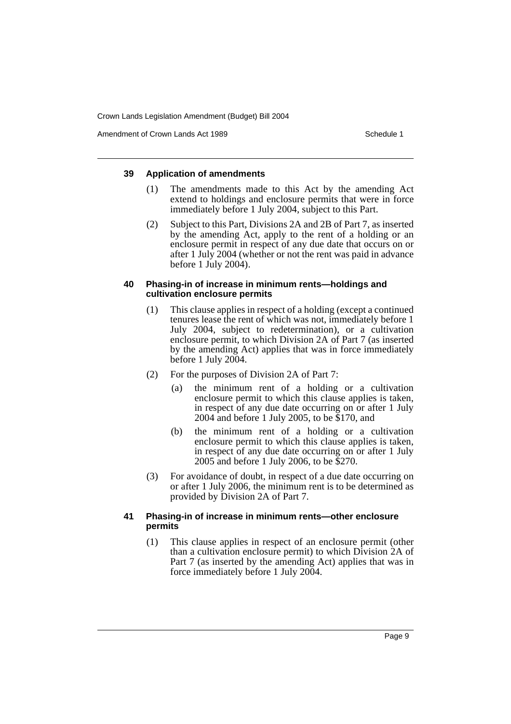Amendment of Crown Lands Act 1989 Schedule 1

## **39 Application of amendments**

- (1) The amendments made to this Act by the amending Act extend to holdings and enclosure permits that were in force immediately before 1 July 2004, subject to this Part.
- (2) Subject to this Part, Divisions 2A and 2B of Part 7, as inserted by the amending Act, apply to the rent of a holding or an enclosure permit in respect of any due date that occurs on or after 1 July 2004 (whether or not the rent was paid in advance before 1 July 2004).

## **40 Phasing-in of increase in minimum rents—holdings and cultivation enclosure permits**

- (1) This clause applies in respect of a holding (except a continued tenures lease the rent of which was not, immediately before 1 July 2004, subject to redetermination), or a cultivation enclosure permit, to which Division 2A of Part 7 (as inserted by the amending Act) applies that was in force immediately before 1 July 2004.
- (2) For the purposes of Division 2A of Part 7:
	- (a) the minimum rent of a holding or a cultivation enclosure permit to which this clause applies is taken, in respect of any due date occurring on or after 1 July 2004 and before 1 July 2005, to be \$170, and
	- (b) the minimum rent of a holding or a cultivation enclosure permit to which this clause applies is taken, in respect of any due date occurring on or after 1 July 2005 and before 1 July 2006, to be \$270.
- (3) For avoidance of doubt, in respect of a due date occurring on or after 1 July 2006, the minimum rent is to be determined as provided by Division 2A of Part 7.

# **41 Phasing-in of increase in minimum rents—other enclosure permits**

(1) This clause applies in respect of an enclosure permit (other than a cultivation enclosure permit) to which Division 2A of Part 7 (as inserted by the amending Act) applies that was in force immediately before 1 July 2004.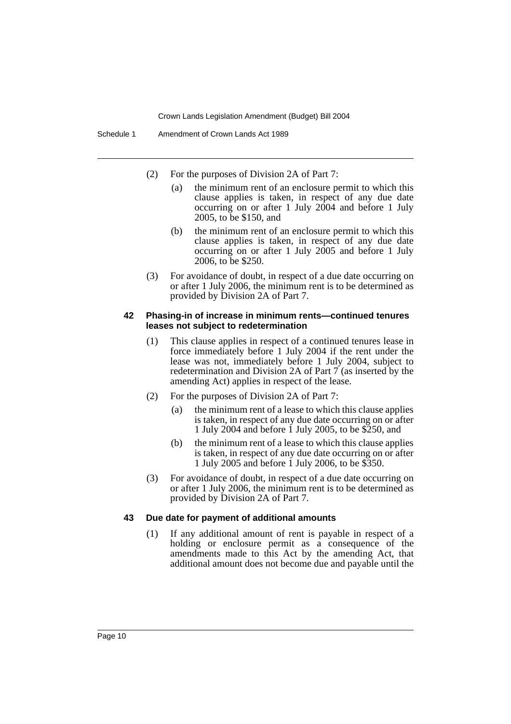- (2) For the purposes of Division 2A of Part 7:
	- (a) the minimum rent of an enclosure permit to which this clause applies is taken, in respect of any due date occurring on or after 1 July 2004 and before 1 July 2005, to be \$150, and
	- (b) the minimum rent of an enclosure permit to which this clause applies is taken, in respect of any due date occurring on or after 1 July 2005 and before 1 July 2006, to be \$250.
- (3) For avoidance of doubt, in respect of a due date occurring on or after 1 July 2006, the minimum rent is to be determined as provided by Division 2A of Part 7.

#### **42 Phasing-in of increase in minimum rents—continued tenures leases not subject to redetermination**

- (1) This clause applies in respect of a continued tenures lease in force immediately before 1 July 2004 if the rent under the lease was not, immediately before 1 July 2004, subject to redetermination and Division 2A of Part 7 (as inserted by the amending Act) applies in respect of the lease.
- (2) For the purposes of Division 2A of Part 7:
	- (a) the minimum rent of a lease to which this clause applies is taken, in respect of any due date occurring on or after 1 July 2004 and before 1 July 2005, to be \$250, and
	- (b) the minimum rent of a lease to which this clause applies is taken, in respect of any due date occurring on or after 1 July 2005 and before 1 July 2006, to be \$350.
- (3) For avoidance of doubt, in respect of a due date occurring on or after 1 July 2006, the minimum rent is to be determined as provided by Division 2A of Part 7.

## **43 Due date for payment of additional amounts**

(1) If any additional amount of rent is payable in respect of a holding or enclosure permit as a consequence of the amendments made to this Act by the amending Act, that additional amount does not become due and payable until the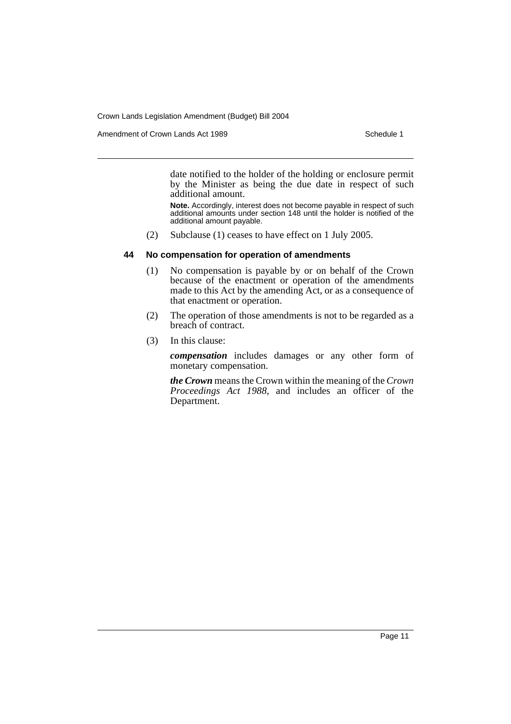Amendment of Crown Lands Act 1989 Schedule 1

date notified to the holder of the holding or enclosure permit by the Minister as being the due date in respect of such additional amount.

**Note.** Accordingly, interest does not become payable in respect of such additional amounts under section 148 until the holder is notified of the additional amount payable.

(2) Subclause (1) ceases to have effect on 1 July 2005.

## **44 No compensation for operation of amendments**

- (1) No compensation is payable by or on behalf of the Crown because of the enactment or operation of the amendments made to this Act by the amending Act, or as a consequence of that enactment or operation.
- (2) The operation of those amendments is not to be regarded as a breach of contract.
- (3) In this clause:

*compensation* includes damages or any other form of monetary compensation.

*the Crown* means the Crown within the meaning of the *Crown Proceedings Act 1988*, and includes an officer of the Department.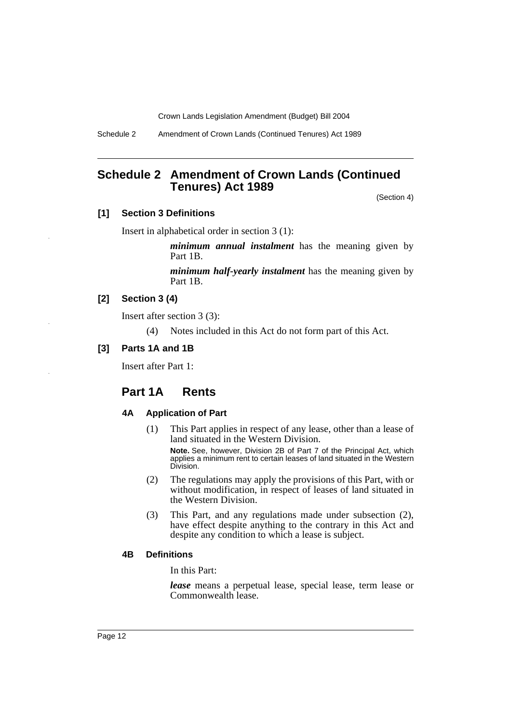Schedule 2 Amendment of Crown Lands (Continued Tenures) Act 1989

# **Schedule 2 Amendment of Crown Lands (Continued Tenures) Act 1989**

(Section 4)

# **[1] Section 3 Definitions**

Insert in alphabetical order in section 3 (1):

*minimum annual instalment* has the meaning given by Part 1B.

*minimum half-yearly instalment* has the meaning given by Part 1B.

# **[2] Section 3 (4)**

Insert after section 3 (3):

(4) Notes included in this Act do not form part of this Act.

## **[3] Parts 1A and 1B**

Insert after Part 1:

# **Part 1A Rents**

## **4A Application of Part**

- (1) This Part applies in respect of any lease, other than a lease of land situated in the Western Division. **Note.** See, however, Division 2B of Part 7 of the Principal Act, which applies a minimum rent to certain leases of land situated in the Western Division.
- (2) The regulations may apply the provisions of this Part, with or without modification, in respect of leases of land situated in the Western Division.
- (3) This Part, and any regulations made under subsection (2), have effect despite anything to the contrary in this Act and despite any condition to which a lease is subject.

#### **4B Definitions**

In this Part:

*lease* means a perpetual lease, special lease, term lease or Commonwealth lease.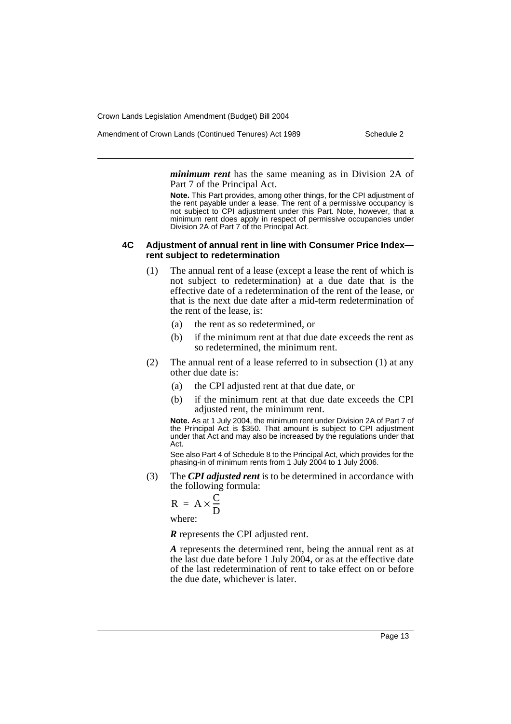Amendment of Crown Lands (Continued Tenures) Act 1989 Schedule 2

*minimum rent* has the same meaning as in Division 2A of Part 7 of the Principal Act.

**Note.** This Part provides, among other things, for the CPI adjustment of the rent payable under a lease. The rent of a permissive occupancy is not subject to CPI adjustment under this Part. Note, however, that a minimum rent does apply in respect of permissive occupancies under Division 2A of Part 7 of the Principal Act.

#### **4C Adjustment of annual rent in line with Consumer Price Index rent subject to redetermination**

- (1) The annual rent of a lease (except a lease the rent of which is not subject to redetermination) at a due date that is the effective date of a redetermination of the rent of the lease, or that is the next due date after a mid-term redetermination of the rent of the lease, is:
	- (a) the rent as so redetermined, or
	- (b) if the minimum rent at that due date exceeds the rent as so redetermined, the minimum rent.
- (2) The annual rent of a lease referred to in subsection (1) at any other due date is:
	- (a) the CPI adjusted rent at that due date, or
	- (b) if the minimum rent at that due date exceeds the CPI adjusted rent, the minimum rent.

**Note.** As at 1 July 2004, the minimum rent under Division 2A of Part 7 of the Principal Act is \$350. That amount is subject to CPI adjustment under that Act and may also be increased by the regulations under that Act.

See also Part 4 of Schedule 8 to the Principal Act, which provides for the phasing-in of minimum rents from 1 July 2004 to 1 July 2006.

(3) The *CPI adjusted rent* is to be determined in accordance with the following formula:

$$
R = A \times \frac{C}{D}
$$

where:

*R* represents the CPI adjusted rent.

*A* represents the determined rent, being the annual rent as at the last due date before 1 July 2004, or as at the effective date of the last redetermination of rent to take effect on or before the due date, whichever is later.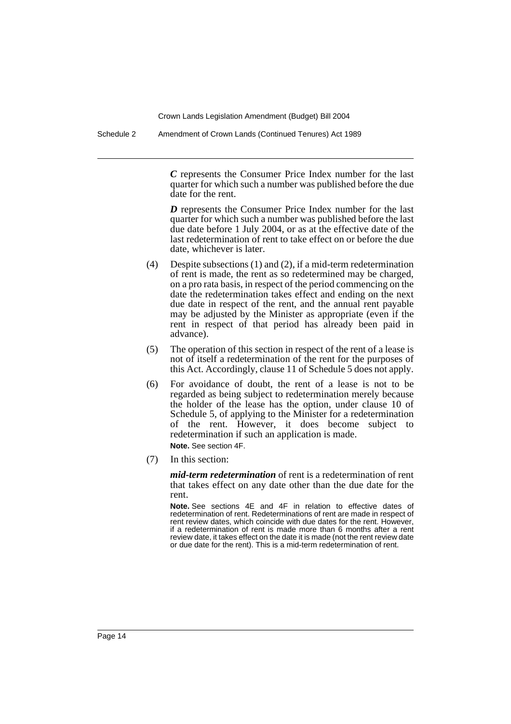Schedule 2 Amendment of Crown Lands (Continued Tenures) Act 1989

*C* represents the Consumer Price Index number for the last quarter for which such a number was published before the due date for the rent.

*D* represents the Consumer Price Index number for the last quarter for which such a number was published before the last due date before 1 July 2004, or as at the effective date of the last redetermination of rent to take effect on or before the due date, whichever is later.

- (4) Despite subsections (1) and (2), if a mid-term redetermination of rent is made, the rent as so redetermined may be charged, on a pro rata basis, in respect of the period commencing on the date the redetermination takes effect and ending on the next due date in respect of the rent, and the annual rent payable may be adjusted by the Minister as appropriate (even if the rent in respect of that period has already been paid in advance).
- (5) The operation of this section in respect of the rent of a lease is not of itself a redetermination of the rent for the purposes of this Act. Accordingly, clause 11 of Schedule 5 does not apply.
- (6) For avoidance of doubt, the rent of a lease is not to be regarded as being subject to redetermination merely because the holder of the lease has the option, under clause 10 of Schedule 5, of applying to the Minister for a redetermination of the rent. However, it does become subject to redetermination if such an application is made. **Note.** See section 4F.
- (7) In this section:

*mid-term redetermination* of rent is a redetermination of rent that takes effect on any date other than the due date for the rent.

**Note.** See sections 4E and 4F in relation to effective dates of redetermination of rent. Redeterminations of rent are made in respect of rent review dates, which coincide with due dates for the rent. However, if a redetermination of rent is made more than 6 months after a rent review date, it takes effect on the date it is made (not the rent review date or due date for the rent). This is a mid-term redetermination of rent.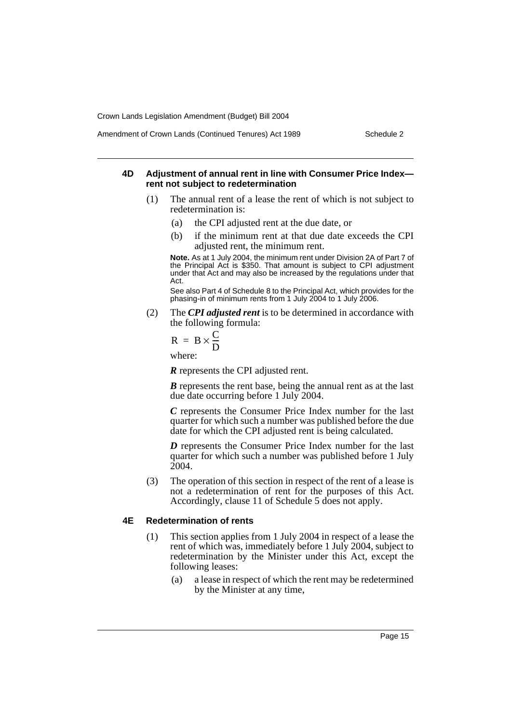#### Amendment of Crown Lands (Continued Tenures) Act 1989 Schedule 2

#### **4D Adjustment of annual rent in line with Consumer Price Index rent not subject to redetermination**

- (1) The annual rent of a lease the rent of which is not subject to redetermination is:
	- (a) the CPI adjusted rent at the due date, or
	- (b) if the minimum rent at that due date exceeds the CPI adjusted rent, the minimum rent.

**Note.** As at 1 July 2004, the minimum rent under Division 2A of Part 7 of the Principal Act is \$350. That amount is subject to CPI adjustment under that Act and may also be increased by the regulations under that Act.

See also Part 4 of Schedule 8 to the Principal Act, which provides for the phasing-in of minimum rents from 1 July 2004 to 1 July 2006.

(2) The *CPI adjusted rent* is to be determined in accordance with the following formula:

$$
R = B \times \frac{C}{D}
$$

where:

*R* represents the CPI adjusted rent.

*B* represents the rent base, being the annual rent as at the last due date occurring before 1 July 2004.

*C* represents the Consumer Price Index number for the last quarter for which such a number was published before the due date for which the CPI adjusted rent is being calculated.

*D* represents the Consumer Price Index number for the last quarter for which such a number was published before 1 July 2004.

(3) The operation of this section in respect of the rent of a lease is not a redetermination of rent for the purposes of this Act. Accordingly, clause 11 of Schedule 5 does not apply.

## **4E Redetermination of rents**

- (1) This section applies from 1 July 2004 in respect of a lease the rent of which was, immediately before 1 July 2004, subject to redetermination by the Minister under this Act, except the following leases:
	- (a) a lease in respect of which the rent may be redetermined by the Minister at any time,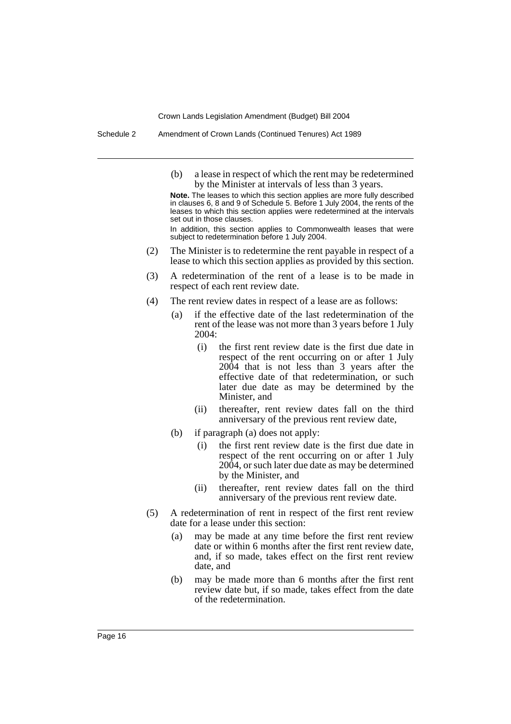Schedule 2 Amendment of Crown Lands (Continued Tenures) Act 1989

(b) a lease in respect of which the rent may be redetermined by the Minister at intervals of less than 3 years.

**Note.** The leases to which this section applies are more fully described in clauses 6, 8 and 9 of Schedule 5. Before 1 July 2004, the rents of the leases to which this section applies were redetermined at the intervals set out in those clauses.

In addition, this section applies to Commonwealth leases that were subject to redetermination before 1 July 2004.

- (2) The Minister is to redetermine the rent payable in respect of a lease to which this section applies as provided by this section.
- (3) A redetermination of the rent of a lease is to be made in respect of each rent review date.
- (4) The rent review dates in respect of a lease are as follows:
	- (a) if the effective date of the last redetermination of the rent of the lease was not more than 3 years before 1 July 2004:
		- (i) the first rent review date is the first due date in respect of the rent occurring on or after 1 July 2004 that is not less than 3 years after the effective date of that redetermination, or such later due date as may be determined by the Minister, and
		- (ii) thereafter, rent review dates fall on the third anniversary of the previous rent review date,
	- (b) if paragraph (a) does not apply:
		- (i) the first rent review date is the first due date in respect of the rent occurring on or after 1 July 2004, or such later due date as may be determined by the Minister, and
		- (ii) thereafter, rent review dates fall on the third anniversary of the previous rent review date.
- (5) A redetermination of rent in respect of the first rent review date for a lease under this section:
	- (a) may be made at any time before the first rent review date or within 6 months after the first rent review date, and, if so made, takes effect on the first rent review date, and
	- (b) may be made more than 6 months after the first rent review date but, if so made, takes effect from the date of the redetermination.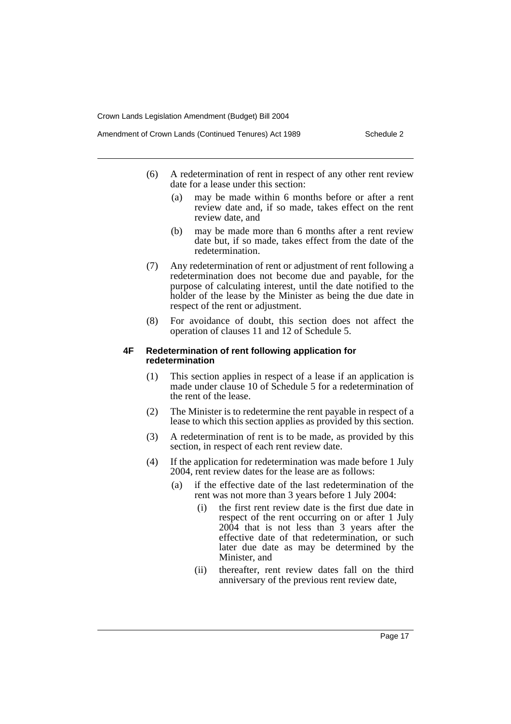- Amendment of Crown Lands (Continued Tenures) Act 1989 Schedule 2
	- (6) A redetermination of rent in respect of any other rent review date for a lease under this section:
		- (a) may be made within 6 months before or after a rent review date and, if so made, takes effect on the rent review date, and
		- (b) may be made more than 6 months after a rent review date but, if so made, takes effect from the date of the redetermination.
	- (7) Any redetermination of rent or adjustment of rent following a redetermination does not become due and payable, for the purpose of calculating interest, until the date notified to the holder of the lease by the Minister as being the due date in respect of the rent or adjustment.
	- (8) For avoidance of doubt, this section does not affect the operation of clauses 11 and 12 of Schedule 5.

#### **4F Redetermination of rent following application for redetermination**

- (1) This section applies in respect of a lease if an application is made under clause 10 of Schedule 5 for a redetermination of the rent of the lease.
- (2) The Minister is to redetermine the rent payable in respect of a lease to which this section applies as provided by this section.
- (3) A redetermination of rent is to be made, as provided by this section, in respect of each rent review date.
- (4) If the application for redetermination was made before 1 July 2004, rent review dates for the lease are as follows:
	- (a) if the effective date of the last redetermination of the rent was not more than 3 years before 1 July 2004:
		- (i) the first rent review date is the first due date in respect of the rent occurring on or after 1 July 2004 that is not less than 3 years after the effective date of that redetermination, or such later due date as may be determined by the Minister, and
		- (ii) thereafter, rent review dates fall on the third anniversary of the previous rent review date,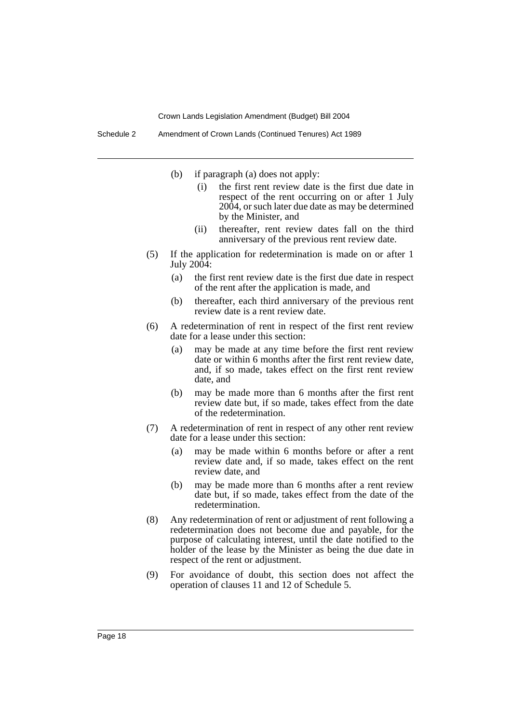Schedule 2 Amendment of Crown Lands (Continued Tenures) Act 1989

- (b) if paragraph (a) does not apply:
	- (i) the first rent review date is the first due date in respect of the rent occurring on or after 1 July 2004, or such later due date as may be determined by the Minister, and
	- (ii) thereafter, rent review dates fall on the third anniversary of the previous rent review date.
- (5) If the application for redetermination is made on or after 1 July 2004:
	- (a) the first rent review date is the first due date in respect of the rent after the application is made, and
	- (b) thereafter, each third anniversary of the previous rent review date is a rent review date.
- (6) A redetermination of rent in respect of the first rent review date for a lease under this section:
	- (a) may be made at any time before the first rent review date or within 6 months after the first rent review date, and, if so made, takes effect on the first rent review date, and
	- (b) may be made more than 6 months after the first rent review date but, if so made, takes effect from the date of the redetermination.
- (7) A redetermination of rent in respect of any other rent review date for a lease under this section:
	- (a) may be made within 6 months before or after a rent review date and, if so made, takes effect on the rent review date, and
	- (b) may be made more than 6 months after a rent review date but, if so made, takes effect from the date of the redetermination.
- (8) Any redetermination of rent or adjustment of rent following a redetermination does not become due and payable, for the purpose of calculating interest, until the date notified to the holder of the lease by the Minister as being the due date in respect of the rent or adjustment.
- (9) For avoidance of doubt, this section does not affect the operation of clauses 11 and 12 of Schedule 5.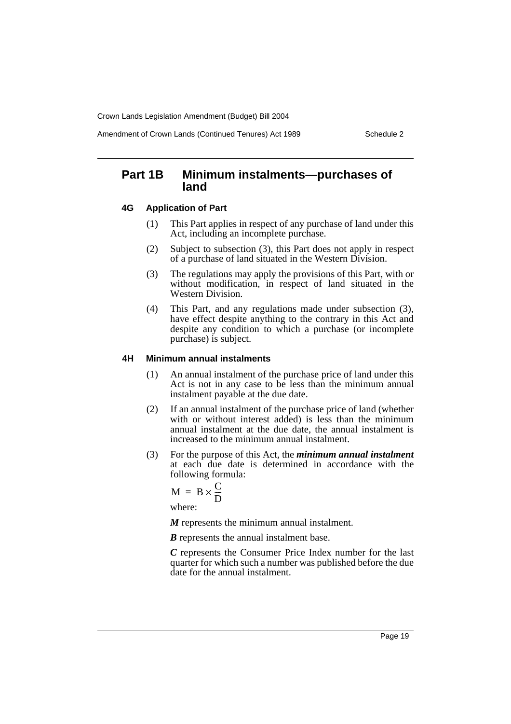Amendment of Crown Lands (Continued Tenures) Act 1989 Schedule 2

# **Part 1B Minimum instalments—purchases of land**

#### **4G Application of Part**

- (1) This Part applies in respect of any purchase of land under this Act, including an incomplete purchase.
- (2) Subject to subsection (3), this Part does not apply in respect of a purchase of land situated in the Western Division.
- (3) The regulations may apply the provisions of this Part, with or without modification, in respect of land situated in the Western Division.
- (4) This Part, and any regulations made under subsection (3), have effect despite anything to the contrary in this Act and despite any condition to which a purchase (or incomplete purchase) is subject.

#### **4H Minimum annual instalments**

- (1) An annual instalment of the purchase price of land under this Act is not in any case to be less than the minimum annual instalment payable at the due date.
- (2) If an annual instalment of the purchase price of land (whether with or without interest added) is less than the minimum annual instalment at the due date, the annual instalment is increased to the minimum annual instalment.
- (3) For the purpose of this Act, the *minimum annual instalment* at each due date is determined in accordance with the following formula:

$$
M = B \times \frac{C}{D}
$$

where:

*M* represents the minimum annual instalment.

*B* represents the annual instalment base.

*C* represents the Consumer Price Index number for the last quarter for which such a number was published before the due date for the annual instalment.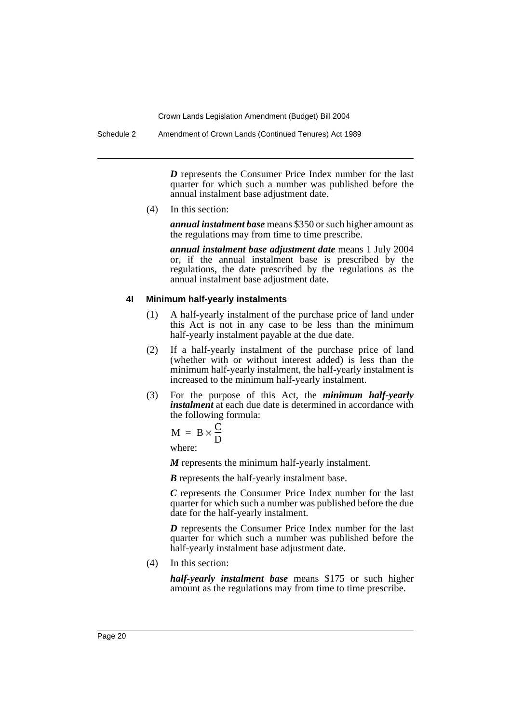*D* represents the Consumer Price Index number for the last quarter for which such a number was published before the annual instalment base adjustment date.

(4) In this section:

*annual instalment base* means \$350 or such higher amount as the regulations may from time to time prescribe.

*annual instalment base adjustment date* means 1 July 2004 or, if the annual instalment base is prescribed by the regulations, the date prescribed by the regulations as the annual instalment base adjustment date.

## **4I Minimum half-yearly instalments**

- (1) A half-yearly instalment of the purchase price of land under this Act is not in any case to be less than the minimum half-yearly instalment payable at the due date.
- (2) If a half-yearly instalment of the purchase price of land (whether with or without interest added) is less than the minimum half-yearly instalment, the half-yearly instalment is increased to the minimum half-yearly instalment.
- (3) For the purpose of this Act, the *minimum half-yearly instalment* at each due date is determined in accordance with the following formula:

$$
M = B \times \frac{C}{D}
$$

where:

*M* represents the minimum half-yearly instalment.

*B* represents the half-yearly instalment base.

*C* represents the Consumer Price Index number for the last quarter for which such a number was published before the due date for the half-yearly instalment.

*D* represents the Consumer Price Index number for the last quarter for which such a number was published before the half-yearly instalment base adjustment date.

(4) In this section:

*half-yearly instalment base* means \$175 or such higher amount as the regulations may from time to time prescribe.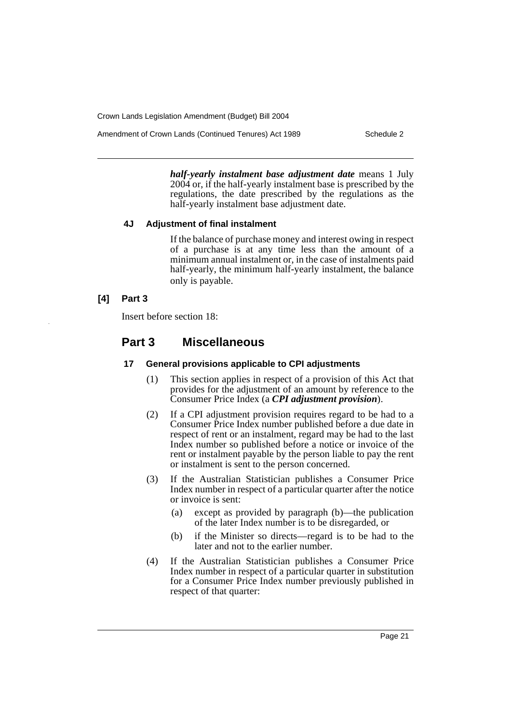Amendment of Crown Lands (Continued Tenures) Act 1989 Schedule 2

*half-yearly instalment base adjustment date* means 1 July 2004 or, if the half-yearly instalment base is prescribed by the regulations, the date prescribed by the regulations as the half-yearly instalment base adjustment date.

# **4J Adjustment of final instalment**

If the balance of purchase money and interest owing in respect of a purchase is at any time less than the amount of a minimum annual instalment or, in the case of instalments paid half-yearly, the minimum half-yearly instalment, the balance only is payable.

# **[4] Part 3**

Insert before section 18:

# **Part 3 Miscellaneous**

# **17 General provisions applicable to CPI adjustments**

- (1) This section applies in respect of a provision of this Act that provides for the adjustment of an amount by reference to the Consumer Price Index (a *CPI adjustment provision*).
- (2) If a CPI adjustment provision requires regard to be had to a Consumer Price Index number published before a due date in respect of rent or an instalment, regard may be had to the last Index number so published before a notice or invoice of the rent or instalment payable by the person liable to pay the rent or instalment is sent to the person concerned.
- (3) If the Australian Statistician publishes a Consumer Price Index number in respect of a particular quarter after the notice or invoice is sent:
	- (a) except as provided by paragraph (b)—the publication of the later Index number is to be disregarded, or
	- (b) if the Minister so directs—regard is to be had to the later and not to the earlier number.
- (4) If the Australian Statistician publishes a Consumer Price Index number in respect of a particular quarter in substitution for a Consumer Price Index number previously published in respect of that quarter: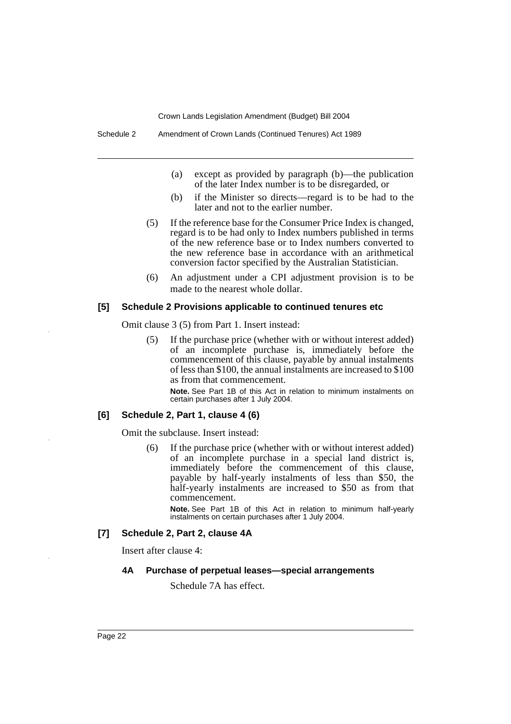- (a) except as provided by paragraph (b)—the publication of the later Index number is to be disregarded, or
- (b) if the Minister so directs—regard is to be had to the later and not to the earlier number.
- (5) If the reference base for the Consumer Price Index is changed, regard is to be had only to Index numbers published in terms of the new reference base or to Index numbers converted to the new reference base in accordance with an arithmetical conversion factor specified by the Australian Statistician.
- (6) An adjustment under a CPI adjustment provision is to be made to the nearest whole dollar.

#### **[5] Schedule 2 Provisions applicable to continued tenures etc**

Omit clause 3 (5) from Part 1. Insert instead:

(5) If the purchase price (whether with or without interest added) of an incomplete purchase is, immediately before the commencement of this clause, payable by annual instalments of less than \$100, the annual instalments are increased to \$100 as from that commencement.

**Note.** See Part 1B of this Act in relation to minimum instalments on certain purchases after 1 July 2004.

#### **[6] Schedule 2, Part 1, clause 4 (6)**

Omit the subclause. Insert instead:

(6) If the purchase price (whether with or without interest added) of an incomplete purchase in a special land district is, immediately before the commencement of this clause, payable by half-yearly instalments of less than \$50, the half-yearly instalments are increased to \$50 as from that commencement.

**Note.** See Part 1B of this Act in relation to minimum half-yearly instalments on certain purchases after 1 July 2004.

## **[7] Schedule 2, Part 2, clause 4A**

Insert after clause 4:

#### **4A Purchase of perpetual leases—special arrangements**

Schedule 7A has effect.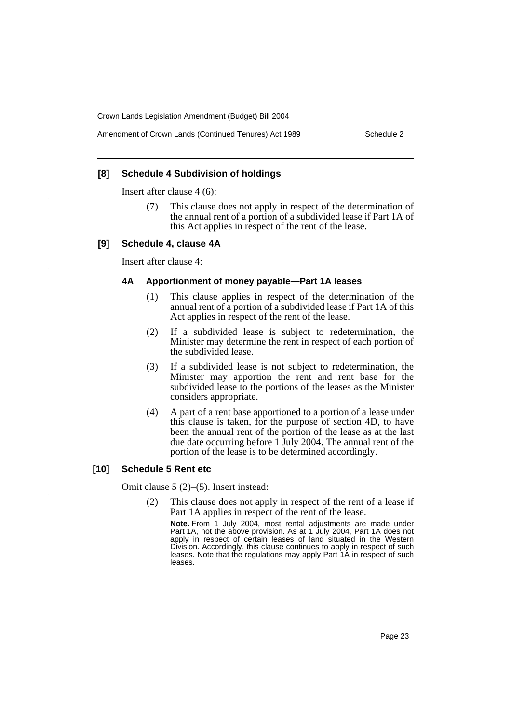## **[8] Schedule 4 Subdivision of holdings**

Insert after clause 4 (6):

(7) This clause does not apply in respect of the determination of the annual rent of a portion of a subdivided lease if Part 1A of this Act applies in respect of the rent of the lease.

#### **[9] Schedule 4, clause 4A**

Insert after clause 4:

#### **4A Apportionment of money payable—Part 1A leases**

- (1) This clause applies in respect of the determination of the annual rent of a portion of a subdivided lease if Part 1A of this Act applies in respect of the rent of the lease.
- (2) If a subdivided lease is subject to redetermination, the Minister may determine the rent in respect of each portion of the subdivided lease.
- (3) If a subdivided lease is not subject to redetermination, the Minister may apportion the rent and rent base for the subdivided lease to the portions of the leases as the Minister considers appropriate.
- (4) A part of a rent base apportioned to a portion of a lease under this clause is taken, for the purpose of section 4D, to have been the annual rent of the portion of the lease as at the last due date occurring before 1 July 2004. The annual rent of the portion of the lease is to be determined accordingly.

#### **[10] Schedule 5 Rent etc**

Omit clause 5 (2)–(5). Insert instead:

(2) This clause does not apply in respect of the rent of a lease if Part 1A applies in respect of the rent of the lease.

**Note.** From 1 July 2004, most rental adjustments are made under Part 1A, not the above provision. As at 1 July 2004, Part 1A does not apply in respect of certain leases of land situated in the Western Division. Accordingly, this clause continues to apply in respect of such leases. Note that the regulations may apply Part 1A in respect of such leases.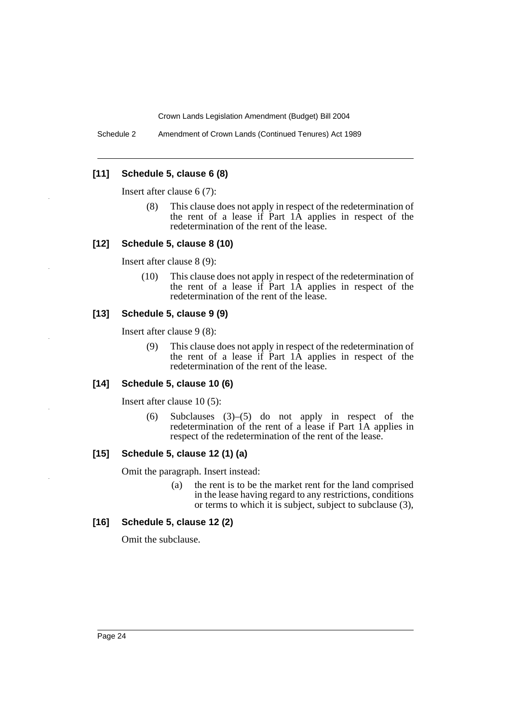Schedule 2 Amendment of Crown Lands (Continued Tenures) Act 1989

# **[11] Schedule 5, clause 6 (8)**

Insert after clause 6 (7):

(8) This clause does not apply in respect of the redetermination of the rent of a lease if Part 1A applies in respect of the redetermination of the rent of the lease.

## **[12] Schedule 5, clause 8 (10)**

Insert after clause 8 (9):

(10) This clause does not apply in respect of the redetermination of the rent of a lease if Part 1A applies in respect of the redetermination of the rent of the lease.

## **[13] Schedule 5, clause 9 (9)**

Insert after clause 9 (8):

(9) This clause does not apply in respect of the redetermination of the rent of a lease if Part 1A applies in respect of the redetermination of the rent of the lease.

#### **[14] Schedule 5, clause 10 (6)**

Insert after clause 10 (5):

(6) Subclauses (3)–(5) do not apply in respect of the redetermination of the rent of a lease if Part 1A applies in respect of the redetermination of the rent of the lease.

# **[15] Schedule 5, clause 12 (1) (a)**

Omit the paragraph. Insert instead:

(a) the rent is to be the market rent for the land comprised in the lease having regard to any restrictions, conditions or terms to which it is subject, subject to subclause (3),

## **[16] Schedule 5, clause 12 (2)**

Omit the subclause.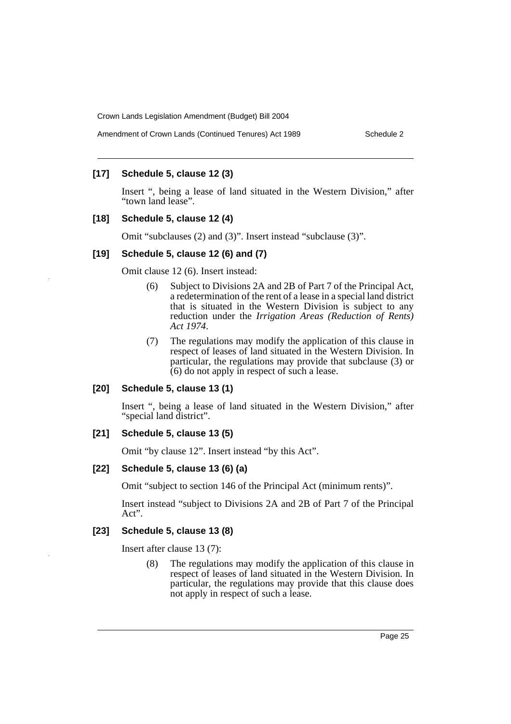#### Amendment of Crown Lands (Continued Tenures) Act 1989 Schedule 2

# **[17] Schedule 5, clause 12 (3)**

Insert ", being a lease of land situated in the Western Division," after "town land lease".

## **[18] Schedule 5, clause 12 (4)**

Omit "subclauses (2) and (3)". Insert instead "subclause (3)".

#### **[19] Schedule 5, clause 12 (6) and (7)**

Omit clause 12 (6). Insert instead:

- (6) Subject to Divisions 2A and 2B of Part 7 of the Principal Act, a redetermination of the rent of a lease in a special land district that is situated in the Western Division is subject to any reduction under the *Irrigation Areas (Reduction of Rents) Act 1974*.
- (7) The regulations may modify the application of this clause in respect of leases of land situated in the Western Division. In particular, the regulations may provide that subclause (3) or (6) do not apply in respect of such a lease.

## **[20] Schedule 5, clause 13 (1)**

Insert ", being a lease of land situated in the Western Division," after "special land district".

## **[21] Schedule 5, clause 13 (5)**

Omit "by clause 12". Insert instead "by this Act".

#### **[22] Schedule 5, clause 13 (6) (a)**

Omit "subject to section 146 of the Principal Act (minimum rents)".

Insert instead "subject to Divisions 2A and 2B of Part 7 of the Principal Act".

#### **[23] Schedule 5, clause 13 (8)**

Insert after clause 13 (7):

(8) The regulations may modify the application of this clause in respect of leases of land situated in the Western Division. In particular, the regulations may provide that this clause does not apply in respect of such a lease.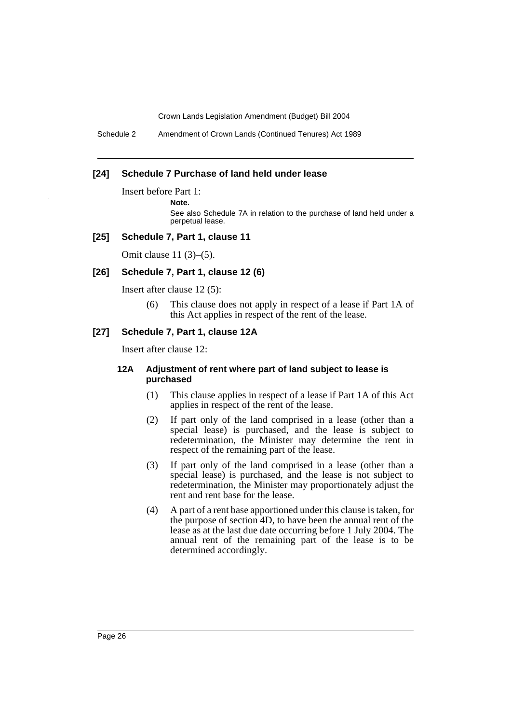Schedule 2 Amendment of Crown Lands (Continued Tenures) Act 1989

#### **[24] Schedule 7 Purchase of land held under lease**

Insert before Part 1:

**Note.**

See also Schedule 7A in relation to the purchase of land held under a perpetual lease.

#### **[25] Schedule 7, Part 1, clause 11**

Omit clause 11 (3)–(5).

#### **[26] Schedule 7, Part 1, clause 12 (6)**

Insert after clause 12 (5):

(6) This clause does not apply in respect of a lease if Part 1A of this Act applies in respect of the rent of the lease.

## **[27] Schedule 7, Part 1, clause 12A**

Insert after clause 12:

#### **12A Adjustment of rent where part of land subject to lease is purchased**

- (1) This clause applies in respect of a lease if Part 1A of this Act applies in respect of the rent of the lease.
- (2) If part only of the land comprised in a lease (other than a special lease) is purchased, and the lease is subject to redetermination, the Minister may determine the rent in respect of the remaining part of the lease.
- (3) If part only of the land comprised in a lease (other than a special lease) is purchased, and the lease is not subject to redetermination, the Minister may proportionately adjust the rent and rent base for the lease.
- (4) A part of a rent base apportioned under this clause is taken, for the purpose of section 4D, to have been the annual rent of the lease as at the last due date occurring before 1 July 2004. The annual rent of the remaining part of the lease is to be determined accordingly.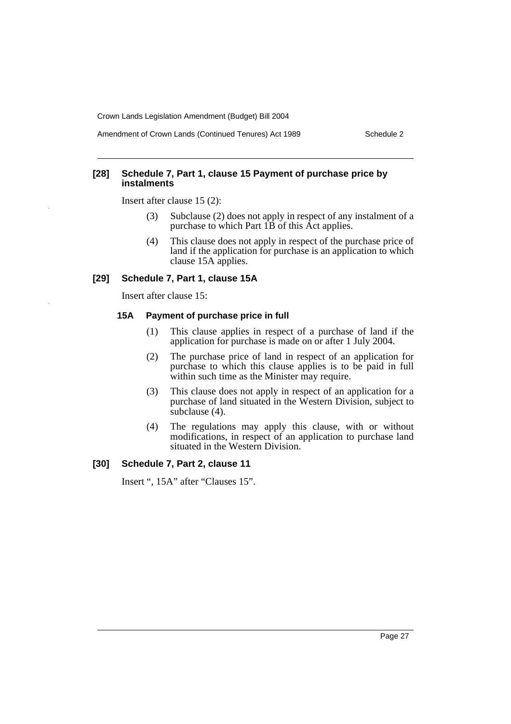Amendment of Crown Lands (Continued Tenures) Act 1989 Schedule 2

## **[28] Schedule 7, Part 1, clause 15 Payment of purchase price by instalments**

Insert after clause 15 (2):

- (3) Subclause (2) does not apply in respect of any instalment of a purchase to which Part 1B of this Act applies.
- (4) This clause does not apply in respect of the purchase price of land if the application for purchase is an application to which clause 15A applies.

## **[29] Schedule 7, Part 1, clause 15A**

Insert after clause 15:

## **15A Payment of purchase price in full**

- (1) This clause applies in respect of a purchase of land if the application for purchase is made on or after 1 July 2004.
- (2) The purchase price of land in respect of an application for purchase to which this clause applies is to be paid in full within such time as the Minister may require.
- (3) This clause does not apply in respect of an application for a purchase of land situated in the Western Division, subject to subclause (4).
- (4) The regulations may apply this clause, with or without modifications, in respect of an application to purchase land situated in the Western Division.

## **[30] Schedule 7, Part 2, clause 11**

Insert ", 15A" after "Clauses 15".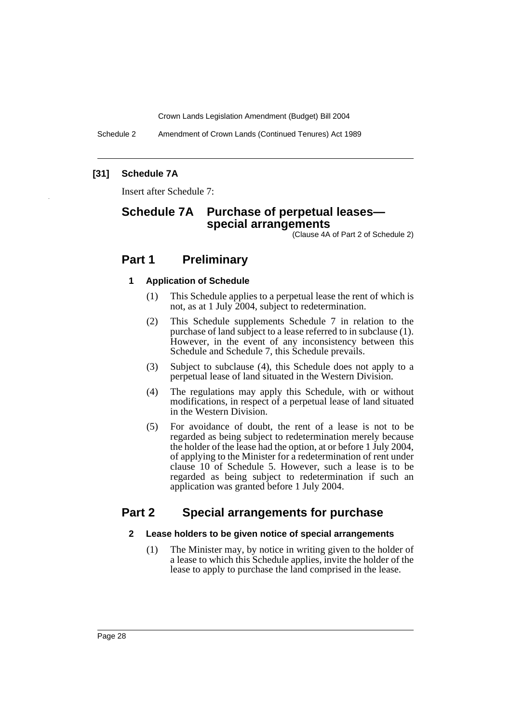Schedule 2 Amendment of Crown Lands (Continued Tenures) Act 1989

# **[31] Schedule 7A**

Insert after Schedule 7:

# **Schedule 7A Purchase of perpetual leases special arrangements**

(Clause 4A of Part 2 of Schedule 2)

# **Part 1 Preliminary**

#### **1 Application of Schedule**

- (1) This Schedule applies to a perpetual lease the rent of which is not, as at 1 July 2004, subject to redetermination.
- (2) This Schedule supplements Schedule 7 in relation to the purchase of land subject to a lease referred to in subclause (1). However, in the event of any inconsistency between this Schedule and Schedule 7, this Schedule prevails.
- (3) Subject to subclause (4), this Schedule does not apply to a perpetual lease of land situated in the Western Division.
- (4) The regulations may apply this Schedule, with or without modifications, in respect of a perpetual lease of land situated in the Western Division.
- (5) For avoidance of doubt, the rent of a lease is not to be regarded as being subject to redetermination merely because the holder of the lease had the option, at or before 1 July 2004, of applying to the Minister for a redetermination of rent under clause 10 of Schedule 5. However, such a lease is to be regarded as being subject to redetermination if such an application was granted before 1 July 2004.

# **Part 2 Special arrangements for purchase**

## **2 Lease holders to be given notice of special arrangements**

(1) The Minister may, by notice in writing given to the holder of a lease to which this Schedule applies, invite the holder of the lease to apply to purchase the land comprised in the lease.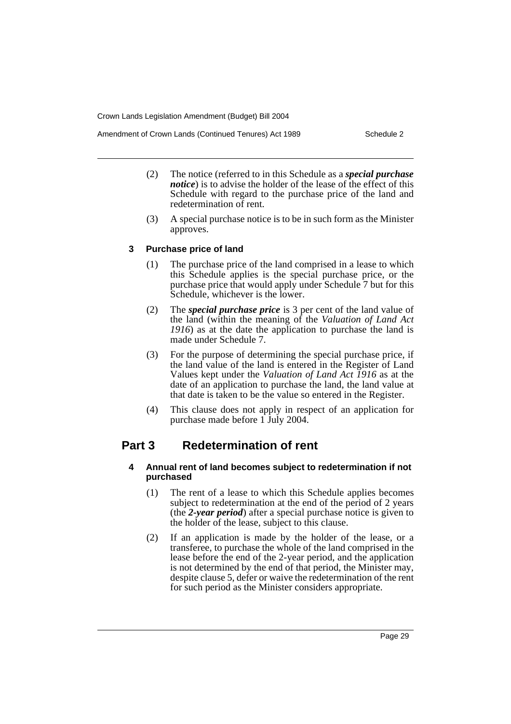- (2) The notice (referred to in this Schedule as a *special purchase notice*) is to advise the holder of the lease of the effect of this Schedule with regard to the purchase price of the land and redetermination of rent.
- (3) A special purchase notice is to be in such form as the Minister approves.

## **3 Purchase price of land**

- (1) The purchase price of the land comprised in a lease to which this Schedule applies is the special purchase price, or the purchase price that would apply under Schedule 7 but for this Schedule, whichever is the lower.
- (2) The *special purchase price* is 3 per cent of the land value of the land (within the meaning of the *Valuation of Land Act 1916*) as at the date the application to purchase the land is made under Schedule 7.
- (3) For the purpose of determining the special purchase price, if the land value of the land is entered in the Register of Land Values kept under the *Valuation of Land Act 1916* as at the date of an application to purchase the land, the land value at that date is taken to be the value so entered in the Register.
- (4) This clause does not apply in respect of an application for purchase made before 1 July 2004.

# **Part 3 Redetermination of rent**

## **4 Annual rent of land becomes subject to redetermination if not purchased**

- (1) The rent of a lease to which this Schedule applies becomes subject to redetermination at the end of the period of 2 years (the *2-year period*) after a special purchase notice is given to the holder of the lease, subject to this clause.
- (2) If an application is made by the holder of the lease, or a transferee, to purchase the whole of the land comprised in the lease before the end of the 2-year period, and the application is not determined by the end of that period, the Minister may, despite clause 5, defer or waive the redetermination of the rent for such period as the Minister considers appropriate.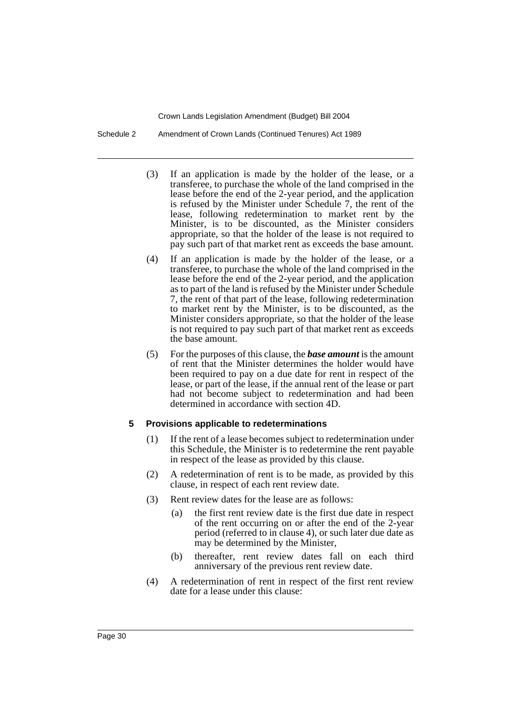Schedule 2 Amendment of Crown Lands (Continued Tenures) Act 1989

- (3) If an application is made by the holder of the lease, or a transferee, to purchase the whole of the land comprised in the lease before the end of the 2-year period, and the application is refused by the Minister under Schedule 7, the rent of the lease, following redetermination to market rent by the Minister, is to be discounted, as the Minister considers appropriate, so that the holder of the lease is not required to pay such part of that market rent as exceeds the base amount.
- (4) If an application is made by the holder of the lease, or a transferee, to purchase the whole of the land comprised in the lease before the end of the 2-year period, and the application as to part of the land is refused by the Minister under Schedule 7, the rent of that part of the lease, following redetermination to market rent by the Minister, is to be discounted, as the Minister considers appropriate, so that the holder of the lease is not required to pay such part of that market rent as exceeds the base amount.
- (5) For the purposes of this clause, the *base amount* is the amount of rent that the Minister determines the holder would have been required to pay on a due date for rent in respect of the lease, or part of the lease, if the annual rent of the lease or part had not become subject to redetermination and had been determined in accordance with section 4D.

#### **5 Provisions applicable to redeterminations**

- (1) If the rent of a lease becomes subject to redetermination under this Schedule, the Minister is to redetermine the rent payable in respect of the lease as provided by this clause.
- (2) A redetermination of rent is to be made, as provided by this clause, in respect of each rent review date.
- (3) Rent review dates for the lease are as follows:
	- (a) the first rent review date is the first due date in respect of the rent occurring on or after the end of the 2-year period (referred to in clause 4), or such later due date as may be determined by the Minister,
	- (b) thereafter, rent review dates fall on each third anniversary of the previous rent review date.
- (4) A redetermination of rent in respect of the first rent review date for a lease under this clause: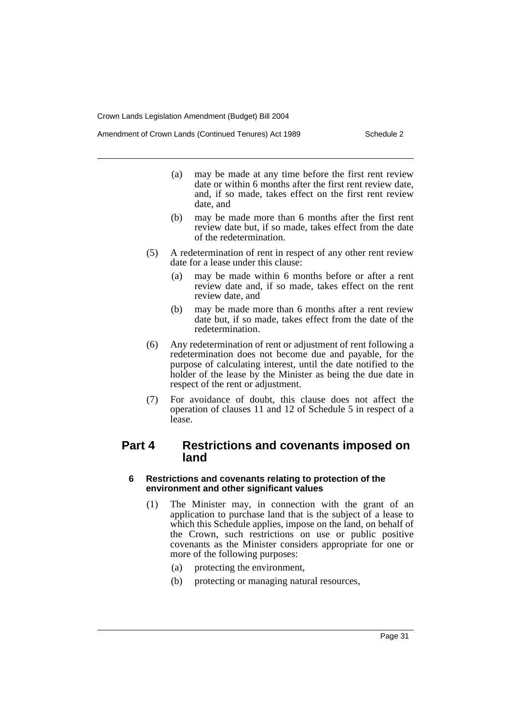Amendment of Crown Lands (Continued Tenures) Act 1989 Schedule 2

- (a) may be made at any time before the first rent review date or within 6 months after the first rent review date, and, if so made, takes effect on the first rent review date, and
- (b) may be made more than 6 months after the first rent review date but, if so made, takes effect from the date of the redetermination.
- (5) A redetermination of rent in respect of any other rent review date for a lease under this clause:
	- (a) may be made within 6 months before or after a rent review date and, if so made, takes effect on the rent review date, and
	- (b) may be made more than 6 months after a rent review date but, if so made, takes effect from the date of the redetermination.
- (6) Any redetermination of rent or adjustment of rent following a redetermination does not become due and payable, for the purpose of calculating interest, until the date notified to the holder of the lease by the Minister as being the due date in respect of the rent or adjustment.
- (7) For avoidance of doubt, this clause does not affect the operation of clauses 11 and 12 of Schedule 5 in respect of a lease.

# **Part 4 Restrictions and covenants imposed on land**

# **6 Restrictions and covenants relating to protection of the environment and other significant values**

- (1) The Minister may, in connection with the grant of an application to purchase land that is the subject of a lease to which this Schedule applies, impose on the land, on behalf of the Crown, such restrictions on use or public positive covenants as the Minister considers appropriate for one or more of the following purposes:
	- (a) protecting the environment,
	- (b) protecting or managing natural resources,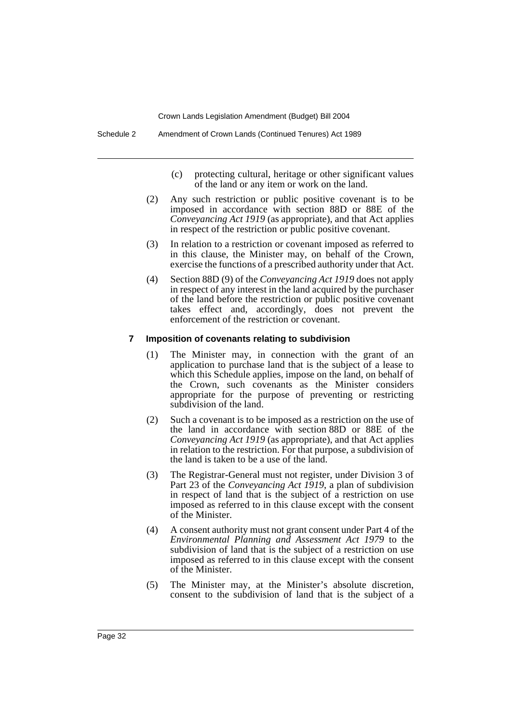- (c) protecting cultural, heritage or other significant values of the land or any item or work on the land.
- (2) Any such restriction or public positive covenant is to be imposed in accordance with section 88D or 88E of the *Conveyancing Act 1919* (as appropriate), and that Act applies in respect of the restriction or public positive covenant.
- (3) In relation to a restriction or covenant imposed as referred to in this clause, the Minister may, on behalf of the Crown, exercise the functions of a prescribed authority under that Act.
- (4) Section 88D (9) of the *Conveyancing Act 1919* does not apply in respect of any interest in the land acquired by the purchaser of the land before the restriction or public positive covenant takes effect and, accordingly, does not prevent the enforcement of the restriction or covenant.

#### **7 Imposition of covenants relating to subdivision**

- (1) The Minister may, in connection with the grant of an application to purchase land that is the subject of a lease to which this Schedule applies, impose on the land, on behalf of the Crown, such covenants as the Minister considers appropriate for the purpose of preventing or restricting subdivision of the land.
- (2) Such a covenant is to be imposed as a restriction on the use of the land in accordance with section 88D or 88E of the *Conveyancing Act 1919* (as appropriate), and that Act applies in relation to the restriction. For that purpose, a subdivision of the land is taken to be a use of the land.
- (3) The Registrar-General must not register, under Division 3 of Part 23 of the *Conveyancing Act 1919*, a plan of subdivision in respect of land that is the subject of a restriction on use imposed as referred to in this clause except with the consent of the Minister.
- (4) A consent authority must not grant consent under Part 4 of the *Environmental Planning and Assessment Act 1979* to the subdivision of land that is the subject of a restriction on use imposed as referred to in this clause except with the consent of the Minister.
- (5) The Minister may, at the Minister's absolute discretion, consent to the subdivision of land that is the subject of a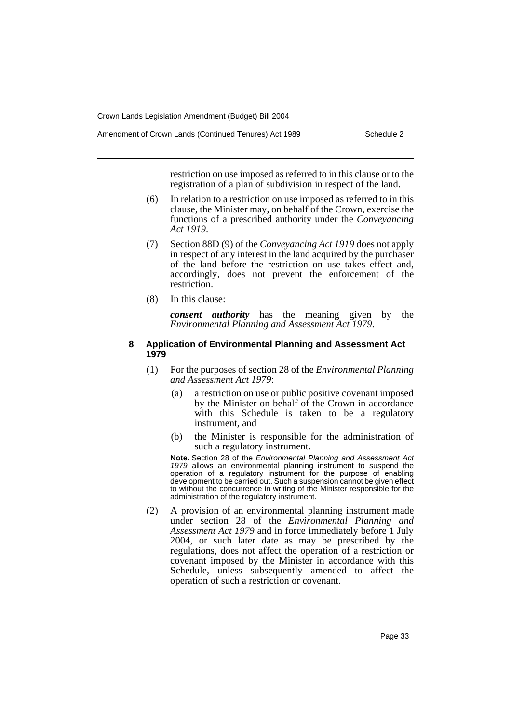Amendment of Crown Lands (Continued Tenures) Act 1989 Schedule 2

restriction on use imposed as referred to in this clause or to the registration of a plan of subdivision in respect of the land.

- (6) In relation to a restriction on use imposed as referred to in this clause, the Minister may, on behalf of the Crown, exercise the functions of a prescribed authority under the *Conveyancing Act 1919*.
- (7) Section 88D (9) of the *Conveyancing Act 1919* does not apply in respect of any interest in the land acquired by the purchaser of the land before the restriction on use takes effect and, accordingly, does not prevent the enforcement of the restriction.
- (8) In this clause:

*consent authority* has the meaning given by the *Environmental Planning and Assessment Act 1979*.

#### **8 Application of Environmental Planning and Assessment Act 1979**

- (1) For the purposes of section 28 of the *Environmental Planning and Assessment Act 1979*:
	- (a) a restriction on use or public positive covenant imposed by the Minister on behalf of the Crown in accordance with this Schedule is taken to be a regulatory instrument, and
	- (b) the Minister is responsible for the administration of such a regulatory instrument.

**Note.** Section 28 of the *Environmental Planning and Assessment Act 1979* allows an environmental planning instrument to suspend the operation of a regulatory instrument for the purpose of enabling development to be carried out. Such a suspension cannot be given effect to without the concurrence in writing of the Minister responsible for the administration of the regulatory instrument.

(2) A provision of an environmental planning instrument made under section 28 of the *Environmental Planning and Assessment Act 1979* and in force immediately before 1 July 2004, or such later date as may be prescribed by the regulations, does not affect the operation of a restriction or covenant imposed by the Minister in accordance with this Schedule, unless subsequently amended to affect the operation of such a restriction or covenant.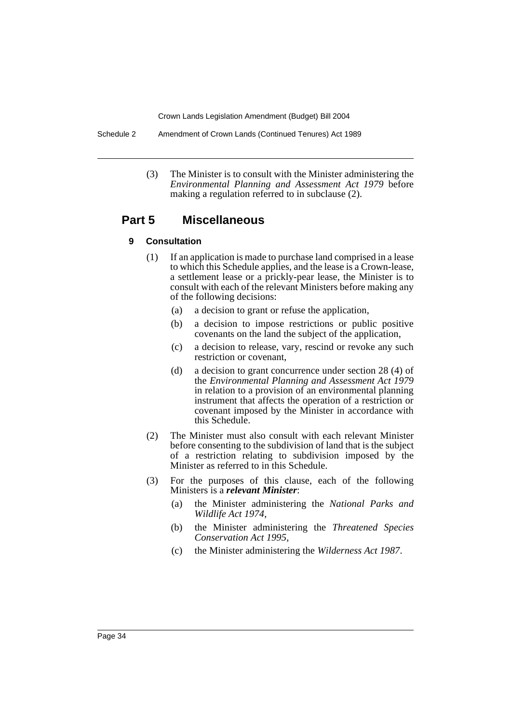Schedule 2 Amendment of Crown Lands (Continued Tenures) Act 1989

(3) The Minister is to consult with the Minister administering the *Environmental Planning and Assessment Act 1979* before making a regulation referred to in subclause (2).

# **Part 5 Miscellaneous**

## **9 Consultation**

- (1) If an application is made to purchase land comprised in a lease to which this Schedule applies, and the lease is a Crown-lease, a settlement lease or a prickly-pear lease, the Minister is to consult with each of the relevant Ministers before making any of the following decisions:
	- (a) a decision to grant or refuse the application,
	- (b) a decision to impose restrictions or public positive covenants on the land the subject of the application,
	- (c) a decision to release, vary, rescind or revoke any such restriction or covenant,
	- (d) a decision to grant concurrence under section 28 (4) of the *Environmental Planning and Assessment Act 1979* in relation to a provision of an environmental planning instrument that affects the operation of a restriction or covenant imposed by the Minister in accordance with this Schedule.
- (2) The Minister must also consult with each relevant Minister before consenting to the subdivision of land that is the subject of a restriction relating to subdivision imposed by the Minister as referred to in this Schedule.
- (3) For the purposes of this clause, each of the following Ministers is a *relevant Minister*:
	- (a) the Minister administering the *National Parks and Wildlife Act 1974*,
	- (b) the Minister administering the *Threatened Species Conservation Act 1995*,
	- (c) the Minister administering the *Wilderness Act 1987*.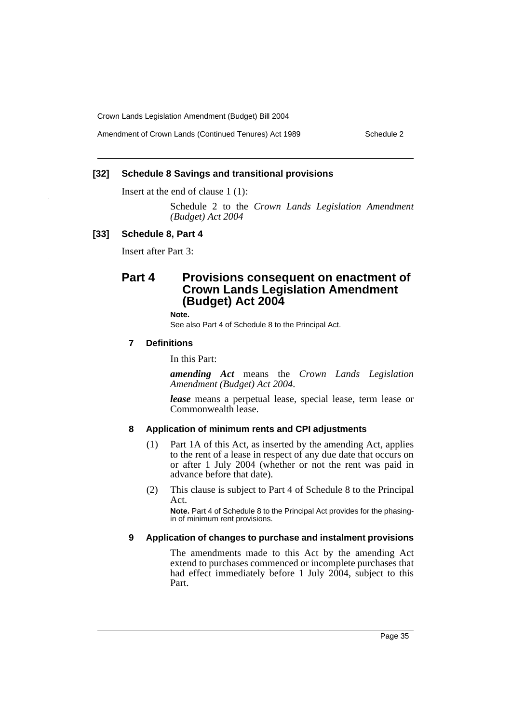Amendment of Crown Lands (Continued Tenures) Act 1989 Schedule 2

# **[32] Schedule 8 Savings and transitional provisions**

Insert at the end of clause 1 (1):

Schedule 2 to the *Crown Lands Legislation Amendment (Budget) Act 2004*

#### **[33] Schedule 8, Part 4**

Insert after Part 3:

# **Part 4 Provisions consequent on enactment of Crown Lands Legislation Amendment (Budget) Act 2004**

**Note.**

See also Part 4 of Schedule 8 to the Principal Act.

#### **7 Definitions**

In this Part:

*amending Act* means the *Crown Lands Legislation Amendment (Budget) Act 2004*.

*lease* means a perpetual lease, special lease, term lease or Commonwealth lease.

#### **8 Application of minimum rents and CPI adjustments**

- (1) Part 1A of this Act, as inserted by the amending Act, applies to the rent of a lease in respect of any due date that occurs on or after 1 July 2004 (whether or not the rent was paid in advance before that date).
- (2) This clause is subject to Part 4 of Schedule 8 to the Principal Act.

**Note.** Part 4 of Schedule 8 to the Principal Act provides for the phasingin of minimum rent provisions.

#### **9 Application of changes to purchase and instalment provisions**

The amendments made to this Act by the amending Act extend to purchases commenced or incomplete purchases that had effect immediately before 1 July 2004, subject to this Part.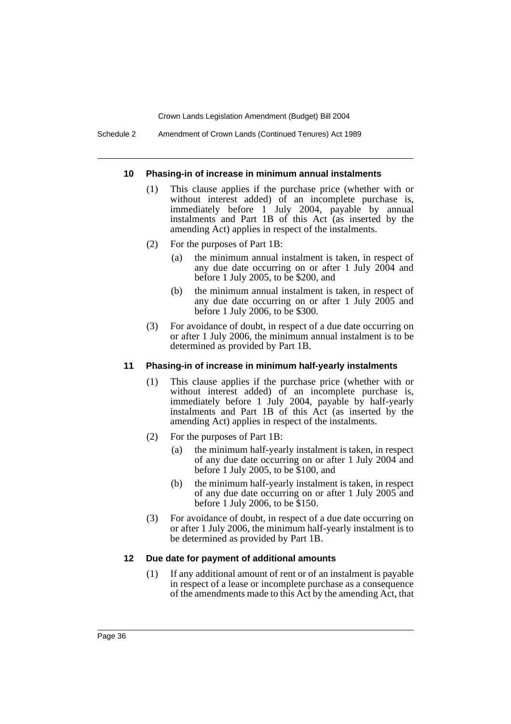Schedule 2 Amendment of Crown Lands (Continued Tenures) Act 1989

#### **10 Phasing-in of increase in minimum annual instalments**

- (1) This clause applies if the purchase price (whether with or without interest added) of an incomplete purchase is, immediately before 1 July 2004, payable by annual instalments and Part 1B of this Act (as inserted by the amending Act) applies in respect of the instalments.
- (2) For the purposes of Part 1B:
	- (a) the minimum annual instalment is taken, in respect of any due date occurring on or after 1 July 2004 and before 1 July 2005, to be \$200, and
	- (b) the minimum annual instalment is taken, in respect of any due date occurring on or after 1 July 2005 and before 1 July 2006, to be \$300.
- (3) For avoidance of doubt, in respect of a due date occurring on or after 1 July 2006, the minimum annual instalment is to be determined as provided by Part 1B.

## **11 Phasing-in of increase in minimum half-yearly instalments**

- (1) This clause applies if the purchase price (whether with or without interest added) of an incomplete purchase is, immediately before 1 July 2004, payable by half-yearly instalments and Part 1B of this Act (as inserted by the amending Act) applies in respect of the instalments.
- (2) For the purposes of Part 1B:
	- (a) the minimum half-yearly instalment is taken, in respect of any due date occurring on or after 1 July 2004 and before 1 July 2005, to be \$100, and
	- (b) the minimum half-yearly instalment is taken, in respect of any due date occurring on or after 1 July 2005 and before 1 July 2006, to be \$150.
- (3) For avoidance of doubt, in respect of a due date occurring on or after 1 July 2006, the minimum half-yearly instalment is to be determined as provided by Part 1B.

## **12 Due date for payment of additional amounts**

(1) If any additional amount of rent or of an instalment is payable in respect of a lease or incomplete purchase as a consequence of the amendments made to this Act by the amending Act, that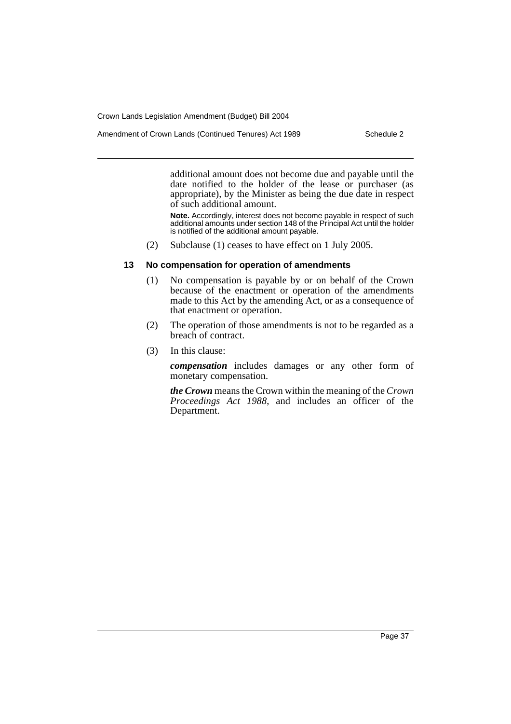Amendment of Crown Lands (Continued Tenures) Act 1989 Schedule 2

additional amount does not become due and payable until the date notified to the holder of the lease or purchaser (as appropriate), by the Minister as being the due date in respect of such additional amount.

**Note.** Accordingly, interest does not become payable in respect of such additional amounts under section 148 of the Principal Act until the holder is notified of the additional amount payable.

(2) Subclause (1) ceases to have effect on 1 July 2005.

# **13 No compensation for operation of amendments**

- (1) No compensation is payable by or on behalf of the Crown because of the enactment or operation of the amendments made to this Act by the amending Act, or as a consequence of that enactment or operation.
- (2) The operation of those amendments is not to be regarded as a breach of contract.
- (3) In this clause:

*compensation* includes damages or any other form of monetary compensation.

*the Crown* means the Crown within the meaning of the *Crown Proceedings Act 1988*, and includes an officer of the Department.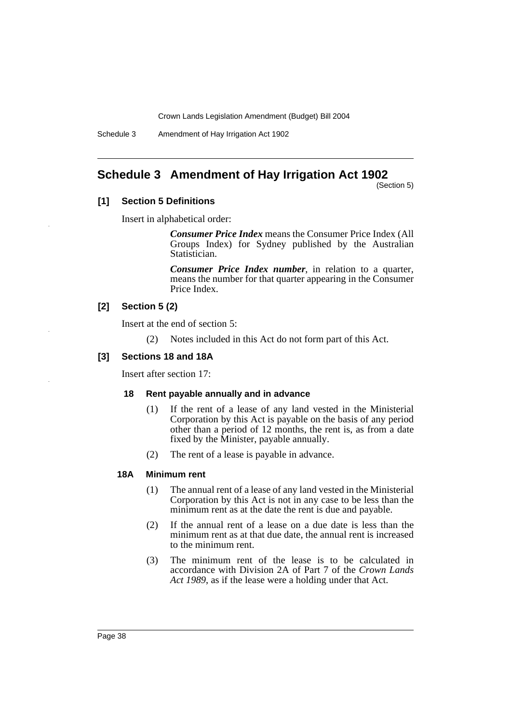Schedule 3 Amendment of Hay Irrigation Act 1902

# **Schedule 3 Amendment of Hay Irrigation Act 1902**

(Section 5)

## **[1] Section 5 Definitions**

Insert in alphabetical order:

*Consumer Price Index* means the Consumer Price Index (All Groups Index) for Sydney published by the Australian Statistician.

*Consumer Price Index number*, in relation to a quarter, means the number for that quarter appearing in the Consumer Price Index.

# **[2] Section 5 (2)**

Insert at the end of section 5:

(2) Notes included in this Act do not form part of this Act.

# **[3] Sections 18 and 18A**

Insert after section 17:

## **18 Rent payable annually and in advance**

- (1) If the rent of a lease of any land vested in the Ministerial Corporation by this Act is payable on the basis of any period other than a period of 12 months, the rent is, as from a date fixed by the Minister, payable annually.
- (2) The rent of a lease is payable in advance.

# **18A Minimum rent**

- (1) The annual rent of a lease of any land vested in the Ministerial Corporation by this Act is not in any case to be less than the minimum rent as at the date the rent is due and payable.
- (2) If the annual rent of a lease on a due date is less than the minimum rent as at that due date, the annual rent is increased to the minimum rent.
- (3) The minimum rent of the lease is to be calculated in accordance with Division 2A of Part 7 of the *Crown Lands Act 1989*, as if the lease were a holding under that Act.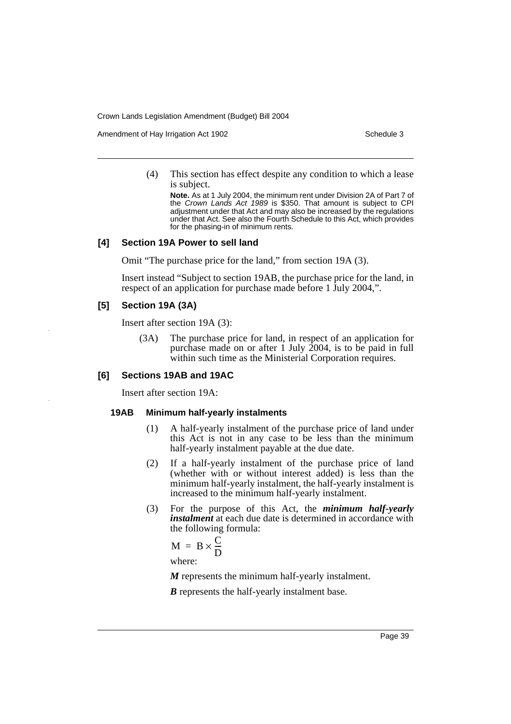Amendment of Hay Irrigation Act 1902 Schedule 3

(4) This section has effect despite any condition to which a lease is subject.

**Note.** As at 1 July 2004, the minimum rent under Division 2A of Part 7 of the *Crown Lands Act 1989* is \$350. That amount is subject to CPI adjustment under that Act and may also be increased by the regulations under that Act. See also the Fourth Schedule to this Act, which provides for the phasing-in of minimum rents.

#### **[4] Section 19A Power to sell land**

Omit "The purchase price for the land," from section 19A (3).

Insert instead "Subject to section 19AB, the purchase price for the land, in respect of an application for purchase made before 1 July 2004,".

# **[5] Section 19A (3A)**

Insert after section 19A (3):

(3A) The purchase price for land, in respect of an application for purchase made on or after 1 July 2004, is to be paid in full within such time as the Ministerial Corporation requires.

#### **[6] Sections 19AB and 19AC**

Insert after section 19A:

#### **19AB Minimum half-yearly instalments**

- (1) A half-yearly instalment of the purchase price of land under this Act is not in any case to be less than the minimum half-yearly instalment payable at the due date.
- (2) If a half-yearly instalment of the purchase price of land (whether with or without interest added) is less than the minimum half-yearly instalment, the half-yearly instalment is increased to the minimum half-yearly instalment.
- (3) For the purpose of this Act, the *minimum half-yearly instalment* at each due date is determined in accordance with the following formula:

$$
M = B \times \frac{C}{D}
$$
  
where:

*M* represents the minimum half-yearly instalment.

*B* represents the half-yearly instalment base.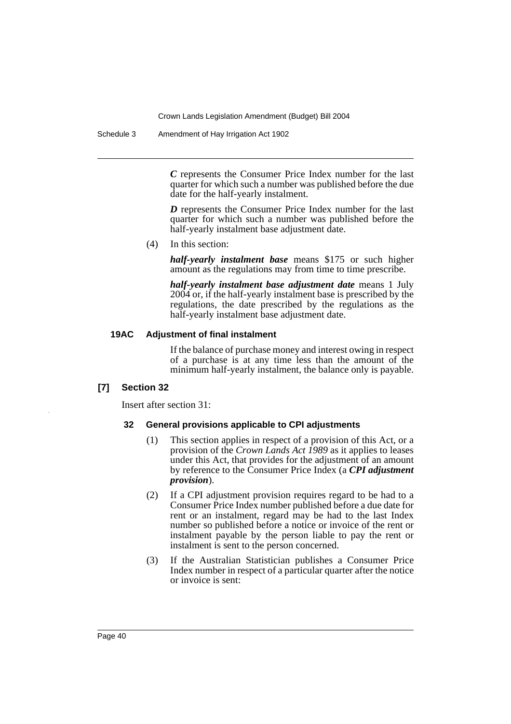Schedule 3 Amendment of Hay Irrigation Act 1902

*C* represents the Consumer Price Index number for the last quarter for which such a number was published before the due date for the half-yearly instalment.

*D* represents the Consumer Price Index number for the last quarter for which such a number was published before the half-yearly instalment base adjustment date.

(4) In this section:

*half-yearly instalment base* means \$175 or such higher amount as the regulations may from time to time prescribe.

*half-yearly instalment base adjustment date* means 1 July 2004 or, if the half-yearly instalment base is prescribed by the regulations, the date prescribed by the regulations as the half-yearly instalment base adjustment date.

## **19AC Adjustment of final instalment**

If the balance of purchase money and interest owing in respect of a purchase is at any time less than the amount of the minimum half-yearly instalment, the balance only is payable.

## **[7] Section 32**

Insert after section 31:

## **32 General provisions applicable to CPI adjustments**

- (1) This section applies in respect of a provision of this Act, or a provision of the *Crown Lands Act 1989* as it applies to leases under this Act, that provides for the adjustment of an amount by reference to the Consumer Price Index (a *CPI adjustment provision*).
- (2) If a CPI adjustment provision requires regard to be had to a Consumer Price Index number published before a due date for rent or an instalment, regard may be had to the last Index number so published before a notice or invoice of the rent or instalment payable by the person liable to pay the rent or instalment is sent to the person concerned.
- (3) If the Australian Statistician publishes a Consumer Price Index number in respect of a particular quarter after the notice or invoice is sent: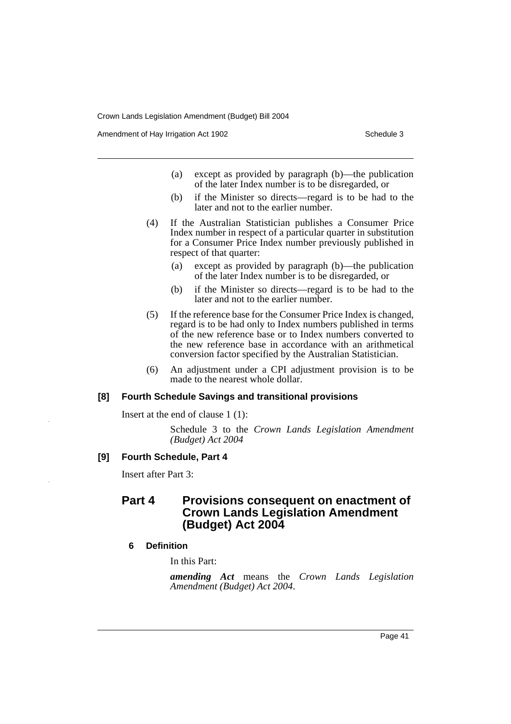Amendment of Hay Irrigation Act 1902 Schedule 3

- (a) except as provided by paragraph (b)—the publication of the later Index number is to be disregarded, or
- (b) if the Minister so directs—regard is to be had to the later and not to the earlier number.
- (4) If the Australian Statistician publishes a Consumer Price Index number in respect of a particular quarter in substitution for a Consumer Price Index number previously published in respect of that quarter:
	- (a) except as provided by paragraph (b)—the publication of the later Index number is to be disregarded, or
	- (b) if the Minister so directs—regard is to be had to the later and not to the earlier number.
- (5) If the reference base for the Consumer Price Index is changed, regard is to be had only to Index numbers published in terms of the new reference base or to Index numbers converted to the new reference base in accordance with an arithmetical conversion factor specified by the Australian Statistician.
- (6) An adjustment under a CPI adjustment provision is to be made to the nearest whole dollar.

## **[8] Fourth Schedule Savings and transitional provisions**

Insert at the end of clause 1 (1):

Schedule 3 to the *Crown Lands Legislation Amendment (Budget) Act 2004*

#### **[9] Fourth Schedule, Part 4**

Insert after Part 3:

# **Part 4 Provisions consequent on enactment of Crown Lands Legislation Amendment (Budget) Act 2004**

#### **6 Definition**

In this Part:

*amending Act* means the *Crown Lands Legislation Amendment (Budget) Act 2004*.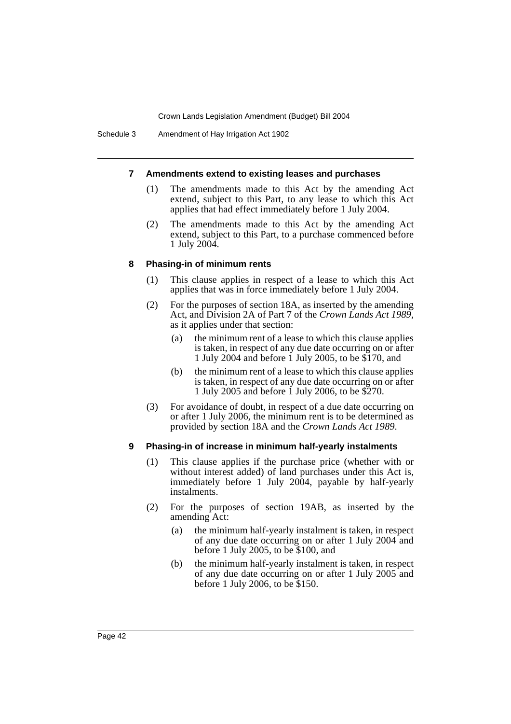#### **7 Amendments extend to existing leases and purchases**

- (1) The amendments made to this Act by the amending Act extend, subject to this Part, to any lease to which this Act applies that had effect immediately before 1 July 2004.
- (2) The amendments made to this Act by the amending Act extend, subject to this Part, to a purchase commenced before 1 July 2004.

#### **8 Phasing-in of minimum rents**

- (1) This clause applies in respect of a lease to which this Act applies that was in force immediately before 1 July 2004.
- (2) For the purposes of section 18A, as inserted by the amending Act, and Division 2A of Part 7 of the *Crown Lands Act 1989*, as it applies under that section:
	- (a) the minimum rent of a lease to which this clause applies is taken, in respect of any due date occurring on or after 1 July 2004 and before 1 July 2005, to be \$170, and
	- (b) the minimum rent of a lease to which this clause applies is taken, in respect of any due date occurring on or after 1 July 2005 and before 1 July 2006, to be \$270.
- (3) For avoidance of doubt, in respect of a due date occurring on or after 1 July 2006, the minimum rent is to be determined as provided by section 18A and the *Crown Lands Act 1989*.

#### **9 Phasing-in of increase in minimum half-yearly instalments**

- (1) This clause applies if the purchase price (whether with or without interest added) of land purchases under this Act is, immediately before 1 July 2004, payable by half-yearly instalments.
- (2) For the purposes of section 19AB, as inserted by the amending Act:
	- (a) the minimum half-yearly instalment is taken, in respect of any due date occurring on or after 1 July 2004 and before 1 July 2005, to be \$100, and
	- (b) the minimum half-yearly instalment is taken, in respect of any due date occurring on or after 1 July 2005 and before 1 July 2006, to be \$150.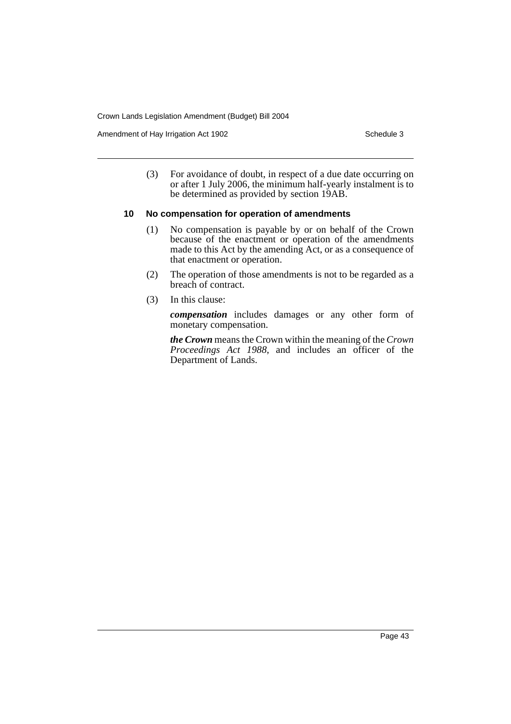Amendment of Hay Irrigation Act 1902 Schedule 3

(3) For avoidance of doubt, in respect of a due date occurring on or after 1 July 2006, the minimum half-yearly instalment is to be determined as provided by section 19AB.

#### **10 No compensation for operation of amendments**

- (1) No compensation is payable by or on behalf of the Crown because of the enactment or operation of the amendments made to this Act by the amending Act, or as a consequence of that enactment or operation.
- (2) The operation of those amendments is not to be regarded as a breach of contract.
- (3) In this clause:

*compensation* includes damages or any other form of monetary compensation.

*the Crown* means the Crown within the meaning of the *Crown Proceedings Act 1988*, and includes an officer of the Department of Lands.